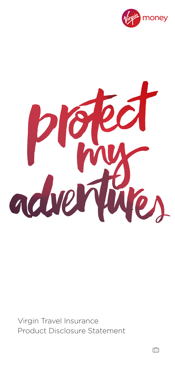



Virgin Travel Insurance Product Disclosure Statement

m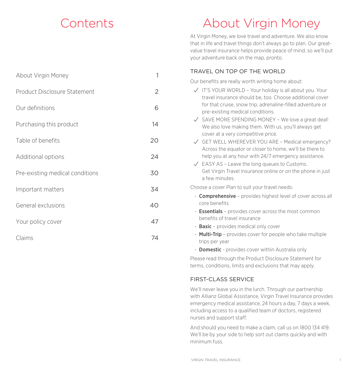## Contents

About Virgin Money 1

## About Virgin Money

At Virgin Money, we love travel and adventure. We also know that in life and travel things don't always go to plan. Our greatvalue travel insurance helps provide peace of mind, so we'll put your adventure back on the map, pronto.

## TRAVEL ON TOP OF THE WORLD

Our benefits are really worth writing home about:

|                                 |                | Our perfected and really world writting nome about.                                                                                                       |
|---------------------------------|----------------|-----------------------------------------------------------------------------------------------------------------------------------------------------------|
| Product Disclosure Statement    | $\overline{2}$ | $\sqrt{ }$ IT'S YOUR WORLD - Your holiday is all about you. Your<br>travel insurance should be, too. Choose additional cover                              |
| Our definitions                 | 6              | for that cruise, snow trip, adrenaline-filled adventure or<br>pre-existing medical conditions.                                                            |
| Purchasing this product         | 14             | $\sqrt{\phantom{a}}$ SAVE MORE SPENDING MONEY - We love a great deal!<br>We also love making them. With us, you'll always get                             |
| Table of benefits               | 20             | cover at a very competitive price.<br>$\sqrt{}$ GET WELL WHEREVER YOU ARE - Medical emergency?<br>Across the equator or closer to home, we'll be there to |
| Additional options              | 24             | help you at any hour with 24/7 emergency assistance.<br>$\sqrt{\phantom{a}}$ EASY AS - Leave the long queues to Customs.                                  |
| Pre-existing medical conditions | 30             | Get Virgin Travel Insurance online or on the phone in just<br>a few minutes.                                                                              |
| Important matters               | 34             | Choose a cover Plan to suit your travel needs:                                                                                                            |
| General exclusions              | 40             | - <b>Comprehensive</b> - provides highest level of cover across all<br>core benefits                                                                      |
| Your policy cover               | 47             | - <b>Essentials</b> - provides cover across the most common<br>benefits of travel insurance                                                               |
|                                 |                | - <b>Basic</b> - provides medical only cover                                                                                                              |
| Claims                          | 74             | - Multi-Trip - provides cover for people who take multiple<br>trips per year                                                                              |
|                                 |                |                                                                                                                                                           |

- **Domestic** - provides cover within Australia only

Please read through the Product Disclosure Statement for terms, conditions, limits and exclusions that may apply.

## FIRST-CLASS SERVICE

We'll never leave you in the lurch. Through our partnership with Allianz Global Assistance, Virgin Travel Insurance provides emergency medical assistance, 24 hours a day, 7 days a week, including access to a qualified team of doctors, registered nurses and support staff.

And should you need to make a claim, call us on 1800 134 419. We'll be by your side to help sort out claims quickly and with minimum fuss.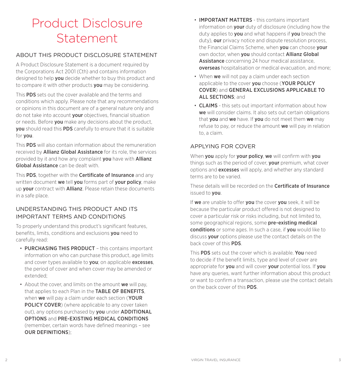## Product Disclosure **Statement**

## ABOUT THIS PRODUCT DISCLOSURE STATEMENT

A Product Disclosure Statement is a document required by the Corporations Act 2001 (Cth) and contains information designed to help you decide whether to buy this product and to compare it with other products **you** may be considering.

This PDS sets out the cover available and the terms and conditions which apply. Please note that any recommendations or opinions in this document are of a general nature only and do not take into account your objectives, financial situation or needs. Before **you** make any decisions about the product. you should read this PDS carefully to ensure that it is suitable for you.

This PDS will also contain information about the remuneration received by Allianz Global Assistance for its role, the services provided by it and how any complaint you have with Allianz Global Assistance can be dealt with

This PDS, together with the **Certificate of Insurance** and any written document we tell you forms part of your policy, make up **your** contract with **Allianz**. Please retain these documents in a safe place.

## UNDERSTANDING THIS PRODUCT AND ITS IMPORTANT TERMS AND CONDITIONS

To properly understand this product's significant features, benefits, limits, conditions and exclusions you need to carefully read:

- PURCHASING THIS PRODUCT this contains important information on who can purchase this product, age limits and cover types available to **you**; on applicable **excesses**. the period of cover and when cover may be amended or extended;
- About the cover, and limits on the amount we will pay. that applies to each Plan in the TABLE OF BENEFITS. when we will pay a claim under each section (YOUR **POLICY COVER**) (where applicable to any cover taken out), any options purchased by you under ADDITIONAL OPTIONS and PRE-EXISTING MEDICAL CONDITIONS (remember, certain words have defined meanings – see OUR DEFINITIONS);
- **IMPORTANT MATTERS** this contains important information on **your** duty of disclosure (including how the duty applies to you and what happens if you breach the duty), **our** privacy notice and dispute resolution process. the Financial Claims Scheme, when you can choose your own doctor, when you should contact Allianz Global Assistance concerning 24 hour medical assistance. overseas hospitalisation or medical evacuation, and more;
- When we will not pay a claim under each section applicable to the cover you choose (YOUR POLICY COVER) and GENERAL EXCLUSIONS APPLICABLE TO ALL SECTIONS; and
- CLAIMS this sets out important information about how we will consider claims. It also sets out certain obligations that you and we have. If you do not meet them we may refuse to pay, or reduce the amount we will pay in relation to, a claim.

## APPLYING FOR COVER

When you apply for your policy, we will confirm with you things such as the period of cover, **your** premium, what cover options and excesses will apply, and whether any standard terms are to be varied.

These details will be recorded on the **Certificate of Insurance** issued to you.

If we are unable to offer you the cover you seek, it will be because the particular product offered is not designed to cover a particular risk or risks including, but not limited to, some geographical regions, some pre-existing medical conditions or some ages. In such a case, if you would like to discuss **your** options please use the contact details on the back cover of this PDS.

This **PDS** sets out the cover which is available. You need to decide if the benefit limits, type and level of cover are appropriate for you and will cover your potential loss. If you have any queries, want further information about this product or want to confirm a transaction, please use the contact details on the back cover of this PDS.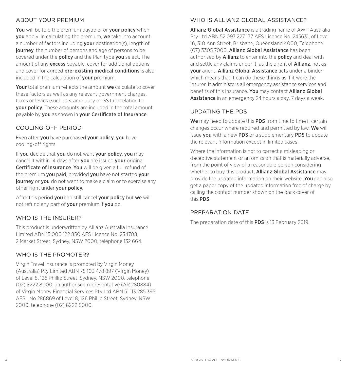## ABOUT YOUR PREMIUM

You will be told the premium payable for your policy when you apply. In calculating the premium, we take into account a number of factors including **your** destination(s), length of **journey**, the number of persons and age of persons to be covered under the policy and the Plan type you select. The amount of any **excess** payable, cover for additional options and cover for agreed **pre-existing medical conditions** is also included in the calculation of your premium.

Your total premium reflects the amount we calculate to cover these factors as well as any relevant government charges, taxes or levies (such as stamp duty or GST) in relation to your policy. These amounts are included in the total amount payable by you as shown in your Certificate of Insurance.

## COOLING-OFF PERIOD

Even after vou have purchased your policy, you have cooling-off rights.

If you decide that you do not want your policy, you may cancel it within 14 days after you are issued your original Certificate of Insurance. You will be given a full refund of the premium you paid, provided you have not started your **journey** or **you** do not want to make a claim or to exercise any other right under **your policy**.

After this period you can still cancel your policy but we will not refund any part of **your** premium if **you** do.

## WHO IS THE INSURER?

This product is underwritten by Allianz Australia Insurance Limited ABN 15 000 122 850 AFS Licence No. 234708, 2 Market Street, Sydney, NSW 2000, telephone 132 664.

## WHO IS THE PROMOTER?

Virgin Travel Insurance is promoted by Virgin Money (Australia) Pty Limited ABN 75 103 478 897 (Virgin Money) of Level 8, 126 Phillip Street, Sydney, NSW 2000, telephone (02) 8222 8000, an authorised representative (AR 280884) of Virgin Money Financial Services Pty Ltd ABN 51 113 285 395 AFSL No 286869 of Level 8, 126 Phillip Street, Sydney, NSW 2000, telephone (02) 8222 8000.

## WHO IS ALLIANZ GLOBAL ASSISTANCE?

Allianz Global Assistance is a trading name of AWP Australia Pty Ltd ABN 52 097 227 177 AFS Licence No. 245631, of Level 16, 310 Ann Street, Brisbane, Queensland 4000, Telephone (07) 3305 7000. Allianz Global Assistance has been authorised by **Allianz** to enter into the **policy** and deal with and settle any claims under it, as the agent of **Allianz**, not as your agent. Allianz Global Assistance acts under a binder which means that it can do these things as if it were the insurer. It administers all emergency assistance services and benefits of this insurance. You may contact Allianz Global Assistance in an emergency 24 hours a day, 7 days a week.

## UPDATING THE PDS

We may need to update this PDS from time to time if certain changes occur where required and permitted by law. We will issue you with a new PDS or a supplementary PDS to update the relevant information except in limited cases.

Where the information is not to correct a misleading or deceptive statement or an omission that is materially adverse, from the point of view of a reasonable person considering whether to buy this product, **Allianz Global Assistance** may provide the updated information on their website. You can also get a paper copy of the updated information free of charge by calling the contact number shown on the back cover of this PDS.

## PREPARATION DATE

The preparation date of this **PDS** is 13 February 2019.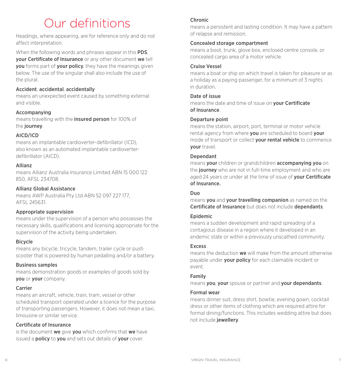## Our definitions

Headings, where appearing, are for reference only and do not affect interpretation.

When the following words and phrases appear in this **PDS**. your Certificate of Insurance or any other document we tell **vou** forms part of **your policy**, they have the meanings given below. The use of the singular shall also include the use of the plural.

## Accident, accidental, accidentally

means an unexpected event caused by something external and visible.

## Accompanying

means travelling with the insured person for 100% of the journey.

## AICD/ICD

means an implantable cardioverter-defibrillator (ICD), also known as an automated implantable cardioverterdefibrillator (AICD).

### Allianz

means Allianz Australia Insurance Limited ABN 15 000 122 850, AFSL 234708.

## Allianz Global Assistance

means AWP Australia Pty Ltd ABN 52 097 227 177, AFSL 245631.

## Appropriate supervision

means under the supervision of a person who possesses the necessary skills, qualifications and licensing appropriate for the supervision of the activity being undertaken.

## Bicycle

means any bicycle, tricycle, tandem, trailer cycle or push scooter that is powered by human pedalling and/or a battery.

## Business samples

means demonstration goods or examples of goods sold by you or your company.

## Carrier

means an aircraft, vehicle, train, tram, vessel or other scheduled transport operated under a licence for the purpose of transporting passengers. However, it does not mean a taxi, limousine or similar service.

## Certificate of Insurance

is the document we give you which confirms that we have issued a **policy** to you and sets out details of your cover.

## Chronic

means a persistent and lasting condition. It may have a pattern of relapse and remission.

## Concealed storage compartment

means a boot, trunk, glove box, enclosed centre console, or concealed cargo area of a motor vehicle.

## Cruise Vessel

means a boat or ship on which travel is taken for pleasure or as a holiday as a paying passenger, for a minimum of 3 nights in duration.

## Date of issue

means the date and time of issue on **vour Certificate** of Insurance.

### Departure point

means the station, airport, port, terminal or motor vehicle rental agency from where you are scheduled to board your mode of transport or collect **your rental vehicle** to commence your travel.

## Dependant

means your children or grandchildren accompanying you on the journey who are not in full-time employment and who are aged 24 years or under at the time of issue of **your Certificate** of Insurance.

#### Duo

means you and your travelling companion as named on the Certificate of Insurance but does not include dependants.

## Epidemic

means a sudden development and rapid spreading of a contagious disease in a region where it developed in an endemic state or within a previously unscathed community.

## **Excess**

means the deduction we will make from the amount otherwise payable under your policy for each claimable incident or event.

## Family

means you, your spouse or partner and your dependants.

## Formal wear

means dinner suit, dress shirt, bowtie, evening gown, cocktail dress or other items of clothing which are required attire for formal dining/functions. This includes wedding attire but does not include jewellery.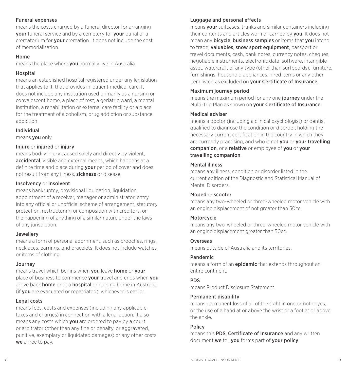#### Funeral expenses

means the costs charged by a funeral director for arranging your funeral service and by a cemetery for your burial or a crematorium for your cremation. It does not include the cost of memorialisation.

#### Home

means the place where you normally live in Australia.

### Hospital

means an established hospital registered under any legislation that applies to it, that provides in-patient medical care. It does not include any institution used primarily as a nursing or convalescent home, a place of rest, a geriatric ward, a mental institution, a rehabilitation or external care facility or a place for the treatment of alcoholism, drug addiction or substance addiction.

### Individual

means you only.

### Injure or injured or injury

means bodily injury caused solely and directly by violent, accidental, visible and external means, which happens at a definite time and place during **your** period of cover and does not result from any illness, sickness or disease.

#### Insolvency or insolvent

means bankruptcy, provisional liquidation, liquidation, appointment of a receiver, manager or administrator, entry into any official or unofficial scheme of arrangement, statutory protection, restructuring or composition with creditors, or the happening of anything of a similar nature under the laws of any jurisdiction.

#### Jewellery

means a form of personal adornment, such as brooches, rings, necklaces, earrings, and bracelets. It does not include watches or items of clothing.

#### Journey

means travel which begins when you leave home or your place of business to commence your travel and ends when you arrive back **home** or at a **hospital** or nursing home in Australia (if vou are evacuated or repatriated), whichever is earlier.

#### Legal costs

means fees, costs and expenses (including any applicable taxes and charges) in connection with a legal action. It also means any costs which **you** are ordered to pay by a court or arbitrator (other than any fine or penalty, or aggravated, punitive, exemplary or liquidated damages) or any other costs we agree to pay.

## Luggage and personal effects

means your suitcases, trunks and similar containers including their contents and articles worn or carried by you. It does not mean any **bicycle, business samples** or items that **you** intend to trade, valuables, snow sport equipment, passport or travel documents, cash, bank notes, currency notes, cheques, negotiable instruments, electronic data, software, intangible asset, watercraft of any type (other than surfboards), furniture, furnishings, household appliances, hired items or any other item listed as excluded on your Certificate of Insurance.

### Maximum journey period

means the maximum period for any one **journey** under the Multi-Trip Plan as shown on your Certificate of Insurance.

### Medical adviser

means a doctor (including a clinical psychologist) or dentist qualified to diagnose the condition or disorder, holding the necessary current certification in the country in which they are currently practising, and who is not **you** or **your travelling** companion, or a relative or employee of you or your travelling companion.

### Mental illness

means any illness, condition or disorder listed in the current edition of the Diagnostic and Statistical Manual of Mental Disorders.

#### Moped or scooter

means any two-wheeled or three-wheeled motor vehicle with an engine displacement of not greater than 50cc.

#### Motorcycle

means any two-wheeled or three-wheeled motor vehicle with an engine displacement greater than 50cc.

#### Overseas

means outside of Australia and its territories.

#### Pandemic

means a form of an **epidemic** that extends throughout an entire continent.

#### PDS

means Product Disclosure Statement.

#### Permanent disability

means permanent loss of all of the sight in one or both eyes, or the use of a hand at or above the wrist or a foot at or above the ankle.

#### Policy

means this PDS, Certificate of Insurance and any written document we tell you forms part of your policy.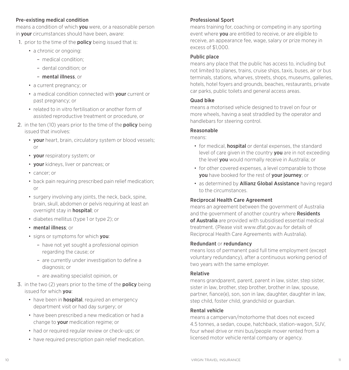#### Pre-existing medical condition

means a condition of which **you** were, or a reasonable person in your circumstances should have been, aware:

- 1. prior to the time of the **policy** being issued that is:
	- a chronic or ongoing:
		- medical condition;
		- dental condition; or
		- mental illness, or
	- a current pregnancy; or
	- a medical condition connected with your current or past pregnancy; or
	- related to in vitro fertilisation or another form of assisted reproductive treatment or procedure, or
- 2. in the ten (10) years prior to the time of the **policy** being issued that involves:
	- your heart, brain, circulatory system or blood vessels; or
	- your respiratory system; or
	- vour kidneys, liver or pancreas; or
	- cancer; or
	- back pain requiring prescribed pain relief medication; or
	- surgery involving any joints, the neck, back, spine, brain, skull, abdomen or pelvis requiring at least an overnight stay in **hospital**; or
	- diabetes mellitus (type 1 or type 2); or
	- mental illness; or
	- signs or symptoms for which you:
		- have not yet sought a professional opinion regarding the cause; or
		- are currently under investigation to define a diagnosis; or
		- are awaiting specialist opinion, or
- 3. in the two (2) years prior to the time of the **policy** being issued for which you:
	- have been in **hospital**, required an emergency department visit or had day surgery; or
	- have been prescribed a new medication or had a change to **your** medication regime; or
	- had or required regular review or check-ups; or
	- have required prescription pain relief medication.

### Professional Sport

means training for, coaching or competing in any sporting event where you are entitled to receive, or are eligible to receive, an appearance fee, wage, salary or prize money in  $excess of $1,000$ .

#### Public place

means any place that the public has access to, including but not limited to planes, trains, cruise ships, taxis, buses, air or bus terminals, stations, wharves, streets, shops, museums, galleries, hotels, hotel foyers and grounds, beaches, restaurants, private car parks, public toilets and general access areas.

#### Quad bike

means a motorised vehicle designed to travel on four or more wheels, having a seat straddled by the operator and handlebars for steering control.

#### Reasonable

means:

- for medical, **hospital** or dental expenses, the standard level of care given in the country you are in not exceeding the level **vou** would normally receive in Australia; or
- for other covered expenses, a level comparable to those you have booked for the rest of your journey; or
- as determined by **Allianz Global Assistance** having regard to the circumstances.

#### Reciprocal Health Care Agreement

means an agreement between the government of Australia and the government of another country where **Residents** of Australia are provided with subsidised essential medical treatment. (Please visit www.dfat.gov.au for details of Reciprocal Health Care Agreements with Australia).

#### Redundant or redundancy

means loss of permanent paid full time employment (except voluntary redundancy), after a continuous working period of two years with the same employer.

#### Relative

means grandparent, parent, parent in law, sister, step sister, sister in law, brother, step brother, brother in law, spouse, partner, fiance(e), son, son in law, daughter, daughter in law, step child, foster child, grandchild or guardian.

#### Rental vehicle

means a campervan/motorhome that does not exceed 4.5 tonnes, a sedan, coupe, hatchback, station-wagon, SUV, four wheel drive or mini bus/people mover rented from a licensed motor vehicle rental company or agency.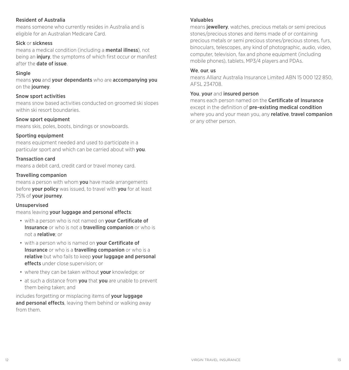#### Resident of Australia

means someone who currently resides in Australia and is eligible for an Australian Medicare Card.

#### Sick or sickness

means a medical condition (including a mental illness), not being an *injury*, the symptoms of which first occur or manifest after the date of issue.

#### **Single**

means you and your dependants who are accompanying you on the journey.

#### Snow sport activities

means snow based activities conducted on groomed ski slopes within ski resort boundaries.

#### Snow sport equipment

means skis, poles, boots, bindings or snowboards.

#### Sporting equipment

means equipment needed and used to participate in a particular sport and which can be carried about with you.

#### Transaction card

means a debit card, credit card or travel money card.

#### Travelling companion

means a person with whom **you** have made arrangements before your policy was issued, to travel with you for at least 75% of your journey.

#### Unsupervised

means leaving your luggage and personal effects:

- with a person who is not named on your Certificate of Insurance or who is not a travelling companion or who is not a relative; or
- with a person who is named on **vour Certificate of** Insurance or who is a travelling companion or who is a relative but who fails to keep your luggage and personal effects under close supervision; or
- where they can be taken without **your** knowledge; or
- at such a distance from you that you are unable to prevent them being taken; and

includes forgetting or misplacing items of **your luggage** and personal effects, leaving them behind or walking away from them.

#### Valuables

means **jewellery**, watches, precious metals or semi precious stones/precious stones and items made of or containing precious metals or semi precious stones/precious stones, furs, binoculars, telescopes, any kind of photographic, audio, video, computer, television, fax and phone equipment (including mobile phones), tablets, MP3/4 players and PDAs.

#### We our us

means Allianz Australia Insurance Limited ABN 15 000 122 850, AFSL 234708.

#### You, your and insured person

means each person named on the Certificate of Insurance except in the definition of **pre-existing medical condition** where you and your mean you, any relative, travel companion or any other person.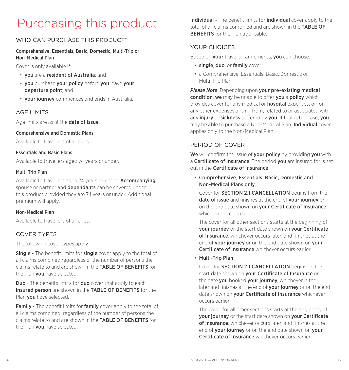## Purchasing this product

## WHO CAN PURCHASE THIS PRODUCT?

#### Comprehensive, Essentials, Basic, Domestic, Multi-Trip or Non-Medical Plan

Cover is only available if:

- you are a resident of Australia; and
- you purchase your policy before you leave your departure point; and
- your journey commences and ends in Australia.

## AGE LIMITS

Age limits are as at the **date of issue**.

#### Comprehensive and Domestic Plans

Available to travellers of all ages.

#### Essentials and Basic Plans

Available to travellers aged 74 years or under.

#### Multi Trip Plan

Available to travellers aged 74 years or under. Accompanying spouse or partner and **dependants** can be covered under this product provided they are 74 years or under. Additional premium will apply.

#### Non-Medical Plan

Available to travellers of all ages.

## COVER TYPES

The following cover types apply:

**Single -** The benefit limits for **single** cover apply to the total of all claims combined regardless of the number of persons the claims relate to and are shown in the TABLE OF BENEFITS for the Plan you have selected.

**Duo** - The benefits limits for **duo** cover that apply to each insured person are shown in the TABLE OF BENEFITS for the Plan **you** have selected.

**Family** - The benefit limits for **family** cover apply to the total of all claims combined, regardless of the number of persons the claims relate to and are shown in the TABLE OF BENEFITS for the Plan you have selected.

Individual - The benefit limits for individual cover apply to the total of all claims combined and are shown in the **TABLE OF** BENEFITS for the Plan applicable.

## YOUR CHOICES

Based on your travel arrangements, you can choose:

- single, duo, or family cover;
- a Comprehensive, Essentials, Basic, Domestic or Multi-Trip Plan.

*Please Note: Depending upon your pre-existing medical* condition, we may be unable to offer you a policy which provides cover for any medical or hospital expenses, or for any other expenses arising from, related to or associated with any *injury* or *sickness* suffered by you. If that is the case, you may be able to purchase a Non-Medical Plan. Individual cover applies only to the Non-Medical Plan.

## PERIOD OF COVER

We will confirm the issue of **your policy** by providing you with a Certificate of Insurance. The period you are insured for is set out in the Certificate of Insurance.

• Comprehensive, Essentials, Basic, Domestic and Non-Medical Plans only

Cover for SECTION 2.1 CANCELLATION begins from the date of issue and finishes at the end of your journey or on the end date shown on **your Certificate of Insurance** whichever occurs earlier.

The cover for all other sections starts at the beginning of vour journey or the start date shown on your Certificate of Insurance, whichever occurs later, and finishes at the end of your journey or on the end date shown on your Certificate of Insurance whichever occurs earlier.

• Multi-Trip Plan

Cover for SECTION 2.1 CANCELLATION begins on the start date shown on **vour Certificate of Insurance** or the date **you** booked **your journey**, whichever is the later and finishes at the end of your journey or on the end date shown on **your Certificate of Insurance** whichever occurs earlier.

The cover for all other sections starts at the beginning of your journey or the start date shown on your Certificate of Insurance, whichever occurs later, and finishes at the end of vour journey or on the end date shown on your Certificate of Insurance whichever occurs earlier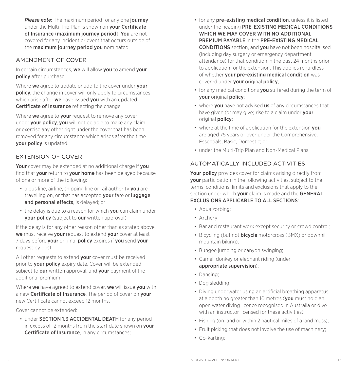*Please note:* The maximum period for any one journey under the Multi-Trip Plan is shown on **vour Certificate** of Insurance (maximum journey period). You are not covered for any incident or event that occurs outside of the maximum journey period you nominated.

## AMENDMENT OF COVER

In certain circumstances, we will allow you to amend your policy after purchase.

Where we agree to update or add to the cover under your policy, the change in cover will only apply to circumstances which arise after we have issued vou with an updated Certificate of Insurance reflecting the change.

Where we agree to your request to remove any cover under **your policy, you** will not be able to make any claim or exercise any other right under the cover that has been removed for any circumstance which arises after the time your policy is updated.

## EXTENSION OF COVER

Your cover may be extended at no additional charge if you find that your return to your home has been delayed because of one or more of the following:

- a bus line, airline, shipping line or rail authority you are travelling on, or that has accepted **your** fare or **luggage** and personal effects, is delayed; or
- the delay is due to a reason for which **you** can claim under your policy (subject to our written approval).

If the delay is for any other reason other than as stated above, we must receive your request to extend your cover at least 7 days before your original policy expires if you send your request by post.

All other requests to extend your cover must be received prior to your policy expiry date. Cover will be extended subject to our written approval, and your payment of the additional premium.

Where we have agreed to extend cover, we will issue you with a new Certificate of Insurance. The period of cover on your new Certificate cannot exceed 12 months.

Cover cannot be extended:

• under **SECTION 1.3 ACCIDENTAL DEATH** for any period in excess of 12 months from the start date shown on your Certificate of Insurance, in any circumstances;

- for any pre-existing medical condition, unless it is listed under the heading PRE-EXISTING MEDICAL CONDITIONS WHICH WE MAY COVER WITH NO ADDITIONAL PREMIUM PAYABLE in the PRE-EXISTING MEDICAL CONDITIONS section, and you have not been hospitalised (including day surgery or emergency department attendance) for that condition in the past 24 months prior to application for the extension. This applies regardless of whether your pre-existing medical condition was covered under your original policy;
- for any medical conditions **you** suffered during the term of your original policy;
- where **vou** have not advised us of any circumstances that have given (or may give) rise to a claim under your original policy;
- where at the time of application for the extension vou are aged 75 years or over under the Comprehensive, Essentials, Basic, Domestic; or
- under the Multi-Trip Plan and Non-Medical Plans.

## AUTOMATICALLY INCLUDED ACTIVITIES

Your policy provides cover for claims arising directly from your participation in the following activities, subject to the terms, conditions, limits and exclusions that apply to the section under which **your** claim is made and the **GENERAL** EXCLUSIONS APPLICABLE TO ALL SECTIONS:

- Aqua zorbing;
- Archery;
- Bar and restaurant work except security or crowd control;
- Bicycling (but not **bicycle** motorcross (BMX) or downhill mountain biking);
- Bungee jumping or canyon swinging;
- Camel, donkey or elephant riding (under appropriate supervision);
- Dancing;
- Dog sledding;
- Diving underwater using an artificial breathing apparatus at a depth no greater than 10 metres (you must hold an open water diving licence recognised in Australia or dive with an instructor licensed for these activities):
- Fishing (on land or within 2 nautical miles of a land mass);
- Fruit picking that does not involve the use of machinery;
- Go-karting;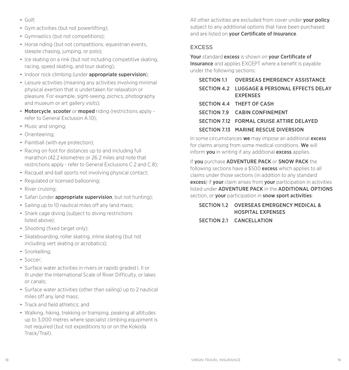- Golf;
- Gym activities (but not powerlifting);
- Gymnastics (but not competitions);
- Horse riding (but not competitions, equestrian events, steeple chasing, jumping, or polo);
- Ice skating on a rink (but not including competitive skating, racing, speed skating, and tour skating);
- Indoor rock climbing (under appropriate supervision);
- Leisure activities (meaning any activities involving minimal physical exertion that is undertaken for relaxation or pleasure. For example, sight-seeing, picnics, photography and museum or art gallery visits);
- Motorcycle, scooter or moped riding (restrictions apply refer to General Exclusion A.10);
- Music and singing;
- Orienteering;
- Paintball (with eye protection):
- Racing on foot for distances up to and including full marathon (42.2 kilometres or 26.2 miles and note that restrictions apply - refer to General Exclusions C.2 and C.8);
- Racquet and ball sports not involving physical contact;
- Regulated or licensed ballooning;
- River cruising;
- Safari (under appropriate supervision, but not hunting);
- Sailing up to 10 nautical miles off any land mass;
- Shark cage diving (subject to diving restrictions listed above);
- Shooting (fixed target only):
- Skateboarding, roller skating, inline skating (but not including vert skating or acrobatics);
- Snorkelling;
- Soccer;
- Surface water activities in rivers or rapids graded I, II or III under the International Scale of River Difficulty, or lakes or canals;
- Surface water activities (other than sailing) up to 2 nautical miles off any land mass;
- Track and field athletics; and
- Walking, hiking, trekking or tramping, peaking at altitudes up to 3,000 metres where specialist climbing equipment is not required (but not expeditions to or on the Kokoda Track/Trail).

All other activities are excluded from cover under your policy, subject to any additional options that have been purchased and are listed on **vour Certificate of Insurance**.

#### EXCESS

Your standard excess is shown on your Certificate of Insurance and applies EXCEPT where a benefit is payable under the following sections:

| SECTION 1.1 OVERSEAS EMERGENCY ASSISTANCE                       |
|-----------------------------------------------------------------|
| SECTION 4.2 LUGGAGE & PERSONAL EFFECTS DELAY<br><b>EXPENSES</b> |
| SECTION 4.4 THEFT OF CASH                                       |
| SECTION 7.9 CABIN CONFINEMENT                                   |
| SECTION 7.12 FORMAL CRUISE ATTIRE DELAYED                       |
| SECTION 7.13 MARINE RESCUE DIVERSION                            |

In some circumstances we may impose an additional excess for claims arising from some medical conditions. We will inform you in writing if any additional excess applies.

If you purchase ADVENTURE PACK or SNOW PACK the following sections have a \$500 **excess** which applies to all claims under those sections (in addition to any standard excess) if your claim arises from your participation in activities listed under ADVENTURE PACK in the ADDITIONAL OPTIONS section, or your participation in snow sport activities:

SECTION 1.2 OVERSEAS EMERGENCY MEDICAL & HOSPITAL EXPENSES

## SECTION 2.1 CANCELLATION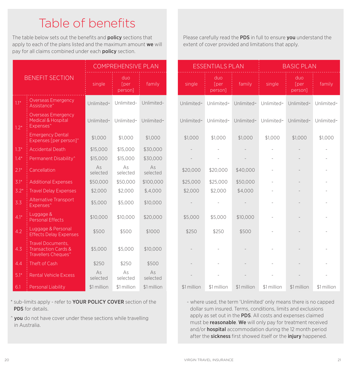## Table of benefits

The table below sets out the benefits and **policy** sections that apply to each of the plans listed and the maximum amount we will pay for all claims combined under each **policy** section.

|        |                                                                                        |                | <b>COMPREHENSIVE PLAN</b>      |                |             | <b>ESSENTIALS PLAN</b>         |             |             | <b>BASIC PLAN</b>              |       |
|--------|----------------------------------------------------------------------------------------|----------------|--------------------------------|----------------|-------------|--------------------------------|-------------|-------------|--------------------------------|-------|
|        | <b>BENEFIT SECTION</b>                                                                 | single         | duo<br><b>T</b> per<br>person] | family         | single      | duo<br><b>T</b> per<br>person] | family      | single      | duo<br><b>T</b> per<br>person] | fan   |
| $1.1*$ | <b>Overseas Emergency</b><br>Assistance <sup>^</sup>                                   | Unlimited~     | Unlimited~                     | Unlimited~     | Unlimited~  | Unlimited~                     | Unlimited~  | Unlimited~  | Unlimited~                     | Unlim |
| $1.2*$ | <b>Overseas Emergency</b><br>Medical & Hospital<br>Expenses <sup>^</sup>               | Unlimited~     | Unlimited~                     | Unlimited~     | Unlimited~  | Unlimited~                     | Unlimited~  | Unlimited~  | Unlimited~                     | Unlim |
|        | <b>Emergency Dental</b><br>Expenses [per person]^                                      | \$1,000        | \$1,000                        | \$1,000        | \$1,000     | \$1,000                        | \$1,000     | \$1,000     | \$1,000                        | \$1,0 |
| $1.3*$ | <b>Accidental Death</b>                                                                | \$15,000       | \$15,000                       | \$30,000       |             |                                |             |             |                                |       |
| $1.4*$ | Permanent Disability <sup>^</sup>                                                      | \$15,000       | \$15,000                       | \$30,000       |             |                                |             |             |                                |       |
| $2.1*$ | Cancellation                                                                           | As<br>selected | As<br>selected                 | As<br>selected | \$20,000    | \$20,000                       | \$40,000    |             |                                |       |
| $3.1*$ | <b>Additional Expenses</b>                                                             | \$50,000       | \$50,000                       | \$100,000      | \$25,000    | \$25,000                       | \$50,000    |             |                                |       |
| $3.2*$ | <b>Travel Delay Expenses</b>                                                           | \$2,000        | \$2,000                        | \$.4.000       | \$2,000     | \$2,000                        | \$4,000     |             |                                |       |
| 3.3    | Alternative Transport<br>Expenses <sup>^</sup>                                         | \$5,000        | \$5,000                        | \$10,000       |             |                                |             |             |                                |       |
| $4.1*$ | Luggage &<br><b>Personal Effects</b>                                                   | \$10,000       | \$10,000                       | \$20,000       | \$5,000     | \$5,000                        | \$10,000    |             |                                |       |
| 4.2    | Luggage & Personal<br><b>Effects Delay Expenses</b>                                    | \$500          | \$500                          | \$1000         | \$250       | \$250                          | \$500       |             |                                |       |
| 4.3    | Travel Documents,<br><b>Transaction Cards &amp;</b><br>Travellers Cheques <sup>^</sup> | \$5,000        | \$5,000                        | \$10,000       |             |                                |             |             |                                |       |
| 4.4    | Theft of Cash                                                                          | \$250          | \$250                          | \$500          |             |                                |             |             |                                |       |
| $5.1*$ | <b>Rental Vehicle Excess</b>                                                           | As<br>selected | As<br>selected                 | As<br>selected |             |                                |             |             |                                |       |
| 6.1    | Personal Liability                                                                     | \$1 million    | \$1 million                    | \$1 million    | \$1 million | \$1 million                    | \$1 million | \$1 million | \$1 million                    | \$1 m |

\* sub-limits apply - refer to YOUR POLICY COVER section of the PDS for details.

 $\hat{y}$  you do not have cover under these sections while travelling in Australia.

Please carefully read the PDS in full to ensure you understand the extent of cover provided and limitations that apply.

|        |                                                                                               | <b>COMPREHENSIVE PLAN</b> |                                |                |             | <b>ESSENTIALS PLAN</b>         |             | <b>BASIC PLAN</b> |                                |             |
|--------|-----------------------------------------------------------------------------------------------|---------------------------|--------------------------------|----------------|-------------|--------------------------------|-------------|-------------------|--------------------------------|-------------|
|        | <b>BENEFIT SECTION</b>                                                                        | single                    | duo<br><b>T</b> per<br>person] | family         | single      | duo<br><b>T</b> per<br>person] | family      | single            | duo<br><b>T</b> per<br>person] | family      |
| $1.1*$ | <b>Overseas Emergency</b><br>Assistance <sup>^</sup>                                          | Unlimited~                | Unlimited~                     | Unlimited~     | Unlimited~  | Unlimited~                     | Unlimited~  | Unlimited~        | Unlimited~                     | Unlimited~  |
| $1.2*$ | <b>Overseas Emergency</b><br>Medical & Hospital<br>Expenses <sup>^</sup>                      | Unlimited~                | Unlimited~                     | Unlimited~     | Unlimited~  | Unlimited~                     | Unlimited~  | Unlimited~        | Unlimited~                     | Unlimited~  |
|        | <b>Emergency Dental</b><br>Expenses [per person]^                                             | \$1,000                   | \$1,000                        | \$1,000        | \$1,000     | \$1,000                        | \$1,000     | \$1,000           | \$1,000                        | \$1,000     |
| $1.3*$ | <b>Accidental Death</b>                                                                       | \$15,000                  | \$15,000                       | \$30,000       |             |                                |             |                   |                                |             |
| $1.4*$ | Permanent Disability^                                                                         | \$15,000                  | \$15,000                       | \$30,000       |             |                                |             |                   |                                |             |
| $2.1*$ | Cancellation                                                                                  | As<br>selected            | As<br>selected                 | As<br>selected | \$20,000    | \$20,000                       | \$40,000    |                   |                                |             |
| $3.1*$ | <b>Additional Expenses</b>                                                                    | \$50,000                  | \$50,000                       | \$100,000      | \$25,000    | \$25,000                       | \$50,000    |                   |                                |             |
| $3.2*$ | <b>Travel Delay Expenses</b>                                                                  | \$2,000                   | \$2,000                        | \$.4.000       | \$2,000     | \$2,000                        | \$4,000     |                   |                                |             |
| 3.3    | Alternative Transport<br>Expenses <sup>^</sup>                                                | \$5,000                   | \$5,000                        | \$10,000       |             |                                |             |                   |                                |             |
| $4.1*$ | Luggage &<br><b>Personal Effects</b>                                                          | \$10,000                  | \$10,000                       | \$20,000       | \$5,000     | \$5,000                        | \$10,000    |                   |                                |             |
| 4.2    | Luggage & Personal<br><b>Effects Delay Expenses</b>                                           | \$500                     | \$500                          | \$1000         | \$250       | \$250                          | \$500       |                   |                                |             |
| 4.3    | <b>Travel Documents.</b><br><b>Transaction Cards &amp;</b><br>Travellers Cheques <sup>^</sup> | \$5,000                   | \$5,000                        | \$10,000       |             |                                |             |                   |                                |             |
| 4.4    | Theft of Cash                                                                                 | \$250                     | \$250                          | \$500          |             |                                |             |                   |                                |             |
| $5.1*$ | <b>Rental Vehicle Excess</b>                                                                  | As<br>selected            | As<br>selected                 | As<br>selected |             |                                |             |                   |                                |             |
| 6.1    | Personal Liability                                                                            | \$1 million               | \$1 million                    | \$1 million    | \$1 million | \$1 million                    | \$1 million | \$1 million       | \$1 million                    | \$1 million |

~ where used, the term 'Unlimited' only means there is no capped dollar sum insured. Terms, conditions, limits and exclusions apply as set out in the **PDS**. All costs and expenses claimed must be reasonable. We will only pay for treatment received and/or **hospital** accommodation during the 12 month period after the **sickness** first showed itself or the *injury* happened.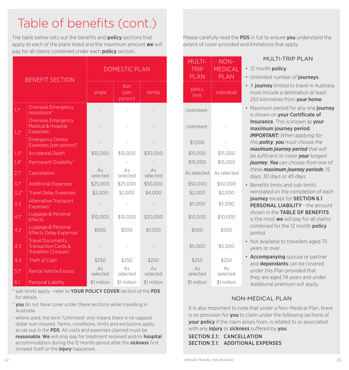# Table of benefits (cont.)

The table below sets out the benefits and **policy** sections that apply to each of the plans listed and the maximum amount we will pay for all claims combined under each **policy** section.

| <b>BENEFIT SECTION</b> |                                                                                        |                | <b>DOMESTIC PLAN</b>           |                | <b>MULTI-</b><br><b>TRIP</b><br><b>PLAN</b> | NON-<br><b>MEDICA</b><br><b>PLAN</b> |
|------------------------|----------------------------------------------------------------------------------------|----------------|--------------------------------|----------------|---------------------------------------------|--------------------------------------|
|                        |                                                                                        | single         | duo<br><b>T</b> per<br>person] | family         | policy<br>limit                             | individua                            |
| $1.1*$                 | <b>Overseas Emergency</b><br>Assistance <sup>^</sup>                                   |                |                                |                | Unlimited~                                  |                                      |
| $1.2*$                 | <b>Overseas Emergency</b><br>Medical & Hospital<br>Expenses <sup>^</sup>               |                |                                |                | Unlimited~                                  |                                      |
|                        | <b>Emergency Dental</b><br>Expenses [per person]^                                      |                |                                |                | \$1,000                                     |                                      |
| $1.3*$                 | <b>Accidental Death</b>                                                                | \$15,000       | \$15,000                       | \$30,000       | \$15,000                                    | \$15,000                             |
| $1.4*$                 | Permanent Disability <sup>^</sup>                                                      |                |                                |                | \$15,000                                    | \$15,000                             |
| $2.1*$                 | Cancellation                                                                           | As<br>selected | As<br>selected                 | As<br>selected | As selected                                 | As selecte                           |
| $3.1*$                 | <b>Additional Expenses</b>                                                             | \$25,000       | \$25,000                       | \$50,000       | \$50,000                                    | \$50,000                             |
| $3.2*$                 | <b>Travel Delay Expenses</b>                                                           | \$2,000        | \$2,000                        | \$4,000        | \$2,000                                     | \$2,000                              |
| 3.3                    | Alternative Transport<br>Expenses <sup>^</sup>                                         |                |                                |                | \$5,000                                     | \$5,000                              |
| $4.1*$                 | Luggage & Personal<br><b>Effects</b>                                                   | \$10,000       | \$10,000                       | \$20,000       | \$10,000                                    | \$10,000                             |
| 4.2                    | Luggage & Personal<br><b>Effects Delay Expenses</b>                                    | \$500          | \$500                          | \$1.000        | \$500                                       | \$500                                |
| 4.3                    | Travel Documents,<br><b>Transaction Cards &amp;</b><br>Travellers Cheques <sup>^</sup> |                |                                |                | \$5,000                                     | \$5,000                              |
| 4.4                    | Theft of Cash                                                                          | \$250          | \$250                          | \$250          | \$250                                       | \$250                                |
| $5.1*$                 | <b>Rental Vehicle Excess</b>                                                           | As<br>selected | As<br>selected                 | As<br>selected | As<br>selected                              | As<br>selected                       |
| 6.1                    | Personal Liability                                                                     | \$1 million    | \$1 million                    | \$1 million    | \$1 million                                 | \$1 million                          |

\* sub-limits apply - refer to YOUR POLICY COVER section of the PDS for details.

- $\hat{y}$  you do not have cover under these sections while travelling in Australia.
- ~ where used, the term 'Unlimited' only means there is no capped dollar sum insured. Terms, conditions, limits and exclusions apply as set out in the **PDS**. All costs and expenses claimed must be reasonable. We will only pay for treatment received and/or hospital accommodation during the 12 month period after the **sickness** first showed itself or the *injury* happened.

Please carefully read the PDS in full to ensure you understand the extent of cover provided and limitations that apply.

|                         | <b>MULTI-</b>           | NON-                    | <b>MULTI-TRIP PLAN</b>                                                                                                                       |
|-------------------------|-------------------------|-------------------------|----------------------------------------------------------------------------------------------------------------------------------------------|
| ιN                      | <b>TRIP</b>             | <b>MEDICAL</b>          | • 12 month policy.                                                                                                                           |
|                         | <b>PLAN</b>             | <b>PLAN</b>             | • Unlimited number of journeys.                                                                                                              |
| family                  | policy<br>limit         | individual              | • A journey limited to travel in Australia<br>must include a destination at least<br>250 kilometres from your home.                          |
|                         | Unlimited~              |                         | Maximum period for any one journey<br>is shown on your Certificate of                                                                        |
|                         | Unlimited~              |                         | Insurance. This is known as your<br>maximum journey period.<br><b>IMPORTANT:</b> When applying for                                           |
|                         | \$1,000                 |                         | this policy, you must choose the                                                                                                             |
| \$30,000                | \$15,000                | \$15,000                | maximum journey period that will                                                                                                             |
|                         | \$15,000                | \$15,000                | be sufficient to cover your longest<br>journey. You can choose from one of                                                                   |
| As<br>selected          | As selected             | As selected             | these maximum journey periods: 15<br>days, 30 days or 45 days.                                                                               |
| \$50,000                | \$50,000                | \$50,000                | Benefits limits and sub-limits                                                                                                               |
| \$4,000                 | \$2,000                 | \$2,000                 | reinstated on the completion of each                                                                                                         |
|                         | \$5,000                 | \$5,000                 | journey except for SECTION 6.1<br><b>PERSONAL LIABILITY - the amount</b>                                                                     |
| \$20,000                | \$10,000                | \$10,000                | shown in the TABLE OF BENEFITS<br>is the most we will pay for all claims                                                                     |
| \$1,000                 | \$500                   | \$500                   | combined for the 12 month policy<br>period.                                                                                                  |
|                         | \$5,000                 | \$5,000                 | Not available to travellers aged 75<br>vears or over.                                                                                        |
| \$250<br>As<br>selected | \$250<br>As<br>selected | \$250<br>As<br>selected | <b>Accompanying</b> spouse or partner<br>and dependants can be covered<br>under this Plan provided that<br>they are aged 74 years and under. |

## NON-MEDICAL PLAN

Additional premium will apply.

It is also important to note that under a Non-Medical Plan, there is no provision for **you** to claim under the following sections of your policy if the claim arises from, is related to or associated with any *injury* or sickness suffered by you:

SECTION 2.1: CANCELLATION SECTION 3.1: ADDITIONAL EXPENSES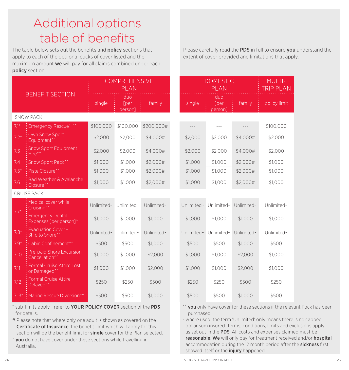## Additional options table of benefits

The table below sets out the benefits and **policy** sections that apply to each of the optiional packs of cover listed and the maximum amount we will pay for all claims combined under each policy section.

|         |                                                              | <b>COMPREHENSIVE</b><br><b>PLAN</b> |                                |            | <b>DOMESTIC</b><br><b>PLAN</b> |            |                                |            | MULTI-<br><b>TRIP PLA</b> |
|---------|--------------------------------------------------------------|-------------------------------------|--------------------------------|------------|--------------------------------|------------|--------------------------------|------------|---------------------------|
|         | <b>BENEFIT SECTION</b>                                       | single                              | duo<br><b>T</b> per<br>person] | family     |                                | single     | duo<br><b>T</b> per<br>person] | family     | policy limit              |
|         | <b>SNOW PACK</b>                                             |                                     |                                |            |                                |            |                                |            |                           |
| $7.1*$  | Emergency Rescue^ ^^                                         | \$100,000                           | \$100,000                      | \$200,000# |                                |            | $---$                          |            | \$100,000                 |
| $7.2*$  | <b>Own Snow Sport</b><br>Equipment <sup>^^</sup>             | \$2,000                             | \$2,000                        | \$4,000#   |                                | \$2,000    | \$2,000                        | \$4,000#   | \$2,000                   |
| 7.3     | <b>Snow Sport Equipment</b><br>Hire^^                        | \$2,000                             | \$2,000                        | \$4,000#   |                                | \$2,000    | \$2,000                        | \$4,000#   | \$2,000                   |
| 7.4     | Snow Sport Pack <sup>^^</sup>                                | \$1,000                             | \$1,000                        | \$2,000#   |                                | \$1,000    | \$1,000                        | \$2,000#   | \$1,000                   |
| $7.5*$  | Piste Closure <sup>^^</sup>                                  | \$1,000                             | \$1,000                        | \$2,000#   |                                | \$1,000    | \$1,000                        | \$2,000#   | \$1,000                   |
| 7.6     | <b>Bad Weather &amp; Avalanche</b><br>Closure <sup>^^</sup>  | \$1,000                             | \$1,000                        | \$2,000#   |                                | \$1,000    | \$1,000                        | \$2,000#   | \$1,000                   |
|         | <b>CRUISE PACK</b>                                           |                                     |                                |            |                                |            |                                |            |                           |
| $7.7*$  | Medical cover while<br>Cruising <sup>^^</sup>                | Unlimited~                          | Unlimited~                     | Unlimited~ |                                | Unlimited~ | Unlimited~                     | Unlimited~ | Unlimited~                |
|         | <b>Emergency Dental</b><br>Expenses [per person]^            | \$1.000                             | \$1.000                        | \$1,000    |                                | \$1,000    | \$1.000                        | \$1,000    | \$1.000                   |
| $7.8*$  | <b>Evacuation Cover -</b><br>Ship to Shore <sup>^^</sup>     | Unlimited~                          | Unlimited~                     | Unlimited~ |                                | Unlimited~ | Unlimited~                     | Unlimited~ | Unlimited~                |
| $7.9*$  | Cabin Confinement <sup>^^</sup>                              | \$500                               | \$500                          | \$1,000    |                                | \$500      | \$500                          | \$1,000    | \$500                     |
| 7.10    | Pre-paid Shore Excursion<br>Cancellation <sup>^^</sup>       | \$1,000                             | \$1,000                        | \$2,000    |                                | \$1,000    | \$1,000                        | \$2,000    | \$1,000                   |
| 7.11    | <b>Formal Cruise Attire Lost</b><br>or Damaged <sup>^^</sup> | \$1,000                             | \$1,000                        | \$2,000    |                                | \$1,000    | \$1,000                        | \$2,000    | \$1,000                   |
| 7.12    | <b>Formal Cruise Attire</b><br>Delayed <sup>^^</sup>         | \$250                               | \$250                          | \$500      |                                | \$250      | \$250                          | \$500      | \$250                     |
| $7.13*$ | Marine Rescue Diversion^^                                    | \$500                               | \$500                          | \$1,000    |                                | \$500      | \$500                          | \$1,000    | \$500                     |

\* sub-limits apply - refer to YOUR POLICY COVER section of the PDS for details.

# Please note that where only one adult is shown as covered on the Certificate of Insurance, the benefit limit which will apply for this section will be the benefit limit for single cover for the Plan selected.

 $\hat{y}$  you do not have cover under these sections while travelling in Australia.

Please carefully read the PDS in full to ensure you understand the extent of cover provided and limitations that apply.

|            | <b>DOMESTIC</b><br>PLAN        |            | <b>MULTI-</b><br><b>TRIP PLAN</b> |
|------------|--------------------------------|------------|-----------------------------------|
| single     | duo<br><b>T</b> per<br>person] | family     | policy limit                      |
|            |                                |            |                                   |
|            |                                |            | \$100,000                         |
| \$2,000    | \$2,000                        | \$4,000#   | \$2,000                           |
| \$2,000    | \$2,000                        | \$4,000#   | \$2,000                           |
| \$1,000    | \$1,000                        | \$2,000#   | \$1,000                           |
| \$1,000    | \$1,000                        | \$2,000#   | \$1,000                           |
| \$1,000    | \$1,000                        | \$2,000#   | \$1,000                           |
|            |                                |            |                                   |
| Unlimited~ | Unlimited~                     | Unlimited~ | Unlimited~                        |
| \$1,000    | \$1,000                        | \$1,000    | \$1,000                           |
| Unlimited~ | Unlimited~                     | Unlimited~ | Unlimited~                        |
| \$500      | \$500                          | \$1,000    | \$500                             |
| \$1,000    | \$1,000                        | \$2,000    | \$1,000                           |
| \$1,000    | \$1,000                        | \$2,000    | \$1,000                           |
| \$250      | \$250                          | \$500      | \$250                             |
| \$500      | \$500                          | \$1,000    | \$500                             |

 $\hat{ }$  you only have cover for these sections if the relevant Pack has been purchased.

~ where used, the term 'Unlimited' only means there is no capped dollar sum insured. Terms, conditions, limits and exclusions apply as set out in the PDS. All costs and expenses claimed must be reasonable. We will only pay for treatment received and/or hospital accommodation during the 12 month period after the sickness first showed itself or the *injury* happened.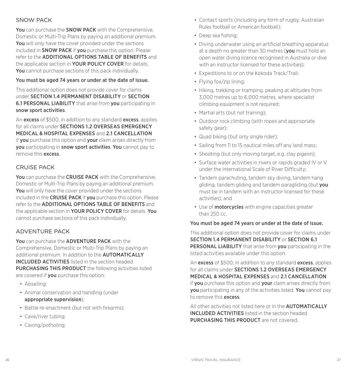## SNOW PACK

You can purchase the **SNOW PACK** with the Comprehensive. Domestic or Multi-Trip Plans by paying an additional premium. You will only have the cover provided under the sections included in **SNOW PACK** if you purchase this option. Please refer to the ADDITIONAL OPTIONS TABLE OF BENEFITS and the applicable section in **YOUR POLICY COVER** for details. You cannot purchase sections of this pack individually.

#### You must be aged 74 years or under at the date of issue.

This additional option does not provide cover for claims under SECTION 1.4 PERMANENT DISABILITY or SECTION 6.1 PERSONAL LIABILITY that arise from you participating in snow sport activities.

An excess of \$500, in addition to any standard excess, applies for all claims under SECTIONS 1.2 OVERSEAS EMERGENCY MEDICAL & HOSPITAL EXPENSES and 2.1 CANCELLATION if vou purchase this option and vour claim arises directly from you participating in snow sport activities. You cannot pay to remove this excess.

## CRUISE PACK

You can purchase the CRUISE PACK with the Comprehensive, Domestic or Multi-Trip Plans by paying an additional premium. You will only have the cover provided under the sections included in the **CRUISE PACK** if **you** purchase this option. Please refer to the ADDITIONAL OPTIONS TABLE OF BENEFITS and the applicable section in YOUR POLICY COVER for details. You cannot purchase sections of this pack individually.

## ADVENTURE PACK

You can purchase the **ADVENTURE PACK** with the Comprehensive, Domestic or Multi-Trip Plans by paying an additional premium. In addition to the **AUTOMATICALLY** INCLUDED ACTIVITIES listed in the section headed PURCHASING THIS PRODUCT the following activities listed are covered if you purchase this option:

- Abseiling;
- Animal conservation and handling (under appropriate supervision);
- Battle re-enactment (but not with firearms);
- Cave/river tubing;
- Caving/potholing;
- Contact sports (including any form of rugby, Australian Rules football or American football);
- Deep sea fishing;
- Diving underwater using an artificial breathing apparatus at a depth no greater than 30 metres (you must hold an open water diving licence recognised in Australia or dive with an instructor licensed for these activities);
- Expeditions to or on the Kokoda Track/Trail;
- Flying fox/zip lining;
- Hiking, trekking or tramping, peaking at altitudes from 3,000 metres up to 6,000 metres, where specialist climbing equipment is not required;
- Martial arts (but not training);
- Outdoor rock climbing (with ropes and appropriate safety gear);
- Quad biking (but only single rider);
- Sailing from 11 to 15 nautical miles off any land mass;
- Shooting (but only moving target, e.g. clay pigeon);
- Surface water activities in rivers or rapids graded IV or V under the International Scale of River Difficulty;
- Tandem parachuting, tandem sky diving, tandem hang gliding, tandem gliding and tandem paragliding (but you must be in tandem with an instructor licensed for these activities); and
- Use of **motorcycles** with engine capacities greater than 250 cc.

#### You must be aged 74 years or under at the date of issue.

This additional option does not provide cover for claims under SECTION 1.4 PERMANENT DISABILITY or SECTION 6.1 PERSONAL LIABILITY that arise from you participating in the listed activities available under this option.

An excess of \$500, in addition to any standard excess, applies for all claims under **SECTIONS 1.2 OVERSEAS EMERGENCY** MEDICAL & HOSPITAL EXPENSES and 2.1 CANCELLATION if **you** purchase this option and **your** claim arises directly from you participating in any of the activities listed. You cannot pay to remove this excess.

All other activities not listed here or in the **AUTOMATICALLY** INCLUDED ACTIVITIES listed in the section headed PURCHASING THIS PRODUCT are not covered.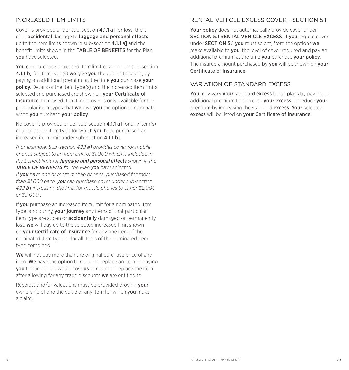## INCREASED ITEM LIMITS

Cover is provided under sub-section **4.1.1 al** for loss, theft of or accidental damage to luggage and personal effects up to the item limits shown in sub-section 4.1.1 all and the benefit limits shown in the TABLE OF BENEFITS for the Plan you have selected.

You can purchase increased item limit cover under sub-section 4.1.1 b] for item type(s) we give you the option to select, by paying an additional premium at the time you purchase your policy. Details of the item type(s) and the increased item limits selected and purchased are shown on your Certificate of Insurance. Increased Item Limit cover is only available for the particular item types that we give you the option to nominate when you purchase your policy.

No cover is provided under sub-section **4.1.1 a** for any item(s) of a particular item type for which you have purchased an increased item limit under sub-section 4.1.1 b].

*(For example: Sub-section 4.1.1 a] provides cover for mobile phones subject to an item limit of \$1,000 which is included in the benefit limit for luggage and personal effects shown in the TABLE OF BENEFITS for the Plan you have selected. If you have one or more mobile phones, purchased for more than \$1,000 each, you can purchase cover under sub-section 4.1.1 b] increasing the limit for mobile phones to either \$2,000 or \$3,000.)*

If **vou** purchase an increased item limit for a nominated item type, and during your journey any items of that particular item type are stolen or **accidentally** damaged or permanently lost, we will pay up to the selected increased limit shown on your Certificate of Insurance for any one item of the nominated item type or for all items of the nominated item type combined.

We will not pay more than the original purchase price of any item. We have the option to repair or replace an item or paying **vou** the amount it would cost **us** to repair or replace the item after allowing for any trade discounts we are entitled to.

Receipts and/or valuations must be provided proving **your** ownership of and the value of any item for which you make a claim.

## RENTAL VEHICLE EXCESS COVER - SECTION 5.1

Your policy does not automatically provide cover under SECTION 5.1 RENTAL VEHICLE EXCESS. If you require cover under SECTION 5.1 you must select, from the options we make available to **you**, the level of cover required and pay an additional premium at the time you purchase your policy. The insured amount purchased by you will be shown on your Certificate of Insurance.

## VARIATION OF STANDARD EXCESS

You may vary your standard excess for all plans by paying an additional premium to decrease **your excess**, or reduce **your** premium by increasing the standard **excess. Your** selected excess will be listed on your Certificate of Insurance.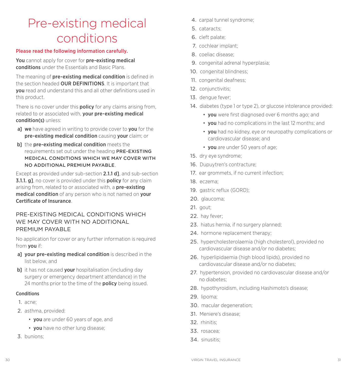## Pre-existing medical conditions

#### Please read the following information carefully.

You cannot apply for cover for pre-existing medical conditions under the Essentials and Basic Plans.

The meaning of **pre-existing medical condition** is defined in the section headed **OUR DEFINITIONS**. It is important that you read and understand this and all other definitions used in this product.

There is no cover under this **policy** for any claims arising from, related to or associated with, your pre-existing medical condition(s) unless:

- al we have agreed in writing to provide cover to vou for the pre-existing medical condition causing your claim; or
- b] the pre-existing medical condition meets the requirements set out under the heading PRE-EXISTING MEDICAL CONDITIONS WHICH WE MAY COVER WITH NO ADDITIONAL PREMIUM PAYABLE.

Except as provided under sub-section 2.1.1 d], and sub-section **3.1.1. g]**, no cover is provided under this **policy** for any claim arising from, related to or associated with, a **pre-existing** medical condition of any person who is not named on your Certificate of Insurance.

## PRE-EXISTING MEDICAL CONDITIONS WHICH WE MAY COVER WITH NO ADDITIONAL PREMIUM PAYABLE

No application for cover or any further information is required from you if:

- a] your pre-existing medical condition is described in the list below, and
- b] it has not caused your hospitalisation (including day surgery or emergency department attendance) in the 24 months prior to the time of the **policy** being issued.

#### Conditions

- 1. acne;
- 2. asthma, provided:
	- you are under 60 years of age, and
	- **vou** have no other lung disease:
- 3. bunions;
- 4. carpal tunnel syndrome;
- 5. cataracts;
- 6. cleft palate;
- 7. cochlear implant;
- 8. coeliac disease;
- 9. congenital adrenal hyperplasia;
- 10. congenital blindness;
- 11. congenital deafness;
- 12. conjunctivitis;
- 13. dengue fever;
- 14. diabetes (type 1 or type 2), or glucose intolerance provided:
	- you were first diagnosed over 6 months ago; and
	- you had no complications in the last 12 months; and
	- you had no kidney, eye or neuropathy complications or cardiovascular disease; and
	- **vou** are under 50 years of age:
- 15. dry eye syndrome;
- 16. Dupuytren's contracture;
- 17. ear grommets, if no current infection;
- 18. eczema;
- 19. gastric reflux (GORD);
- 20. glaucoma;
- 21. gout;
- 22. hay fever;
- 23. hiatus hernia, if no surgery planned:
- 24. hormone replacement therapy:
- 25. hypercholesterolaemia (high cholesterol), provided no cardiovascular disease and/or no diabetes;
- 26. hyperlipidaemia (high blood lipids), provided no cardiovascular disease and/or no diabetes;
- 27. hypertension, provided no cardiovascular disease and/or no diabetes;
- 28. hypothyroidism, including Hashimoto's disease;
- 29. lipoma;
- 30. macular degeneration;
- 31. Meniere's disease;
- 32. rhinitis;
- 33. rosacea;
- 34. sinusitis;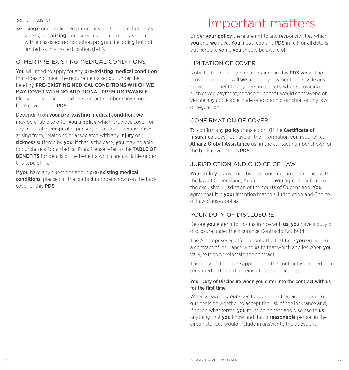- 35. tinnitus; or
- 36. single uncomplicated pregnancy, up to and including 23 weeks, not arising from services or treatment associated with an assisted reproduction program including but not limited to, in vitro fertilisation (IVF).

## OTHER PRE-EXISTING MEDICAL CONDITIONS

You will need to apply for any pre-existing medical condition that does not meet the requirements set out under the heading PRE-EXISTING MEDICAL CONDITIONS WHICH WE MAY COVER WITH NO ADDITIONAL PREMIUM PAYABLE. Please apply online or call the contact number shown on the back cover of this PDS.

Depending on your pre-existing medical condition, we may be unable to offer **you** a **policy** which provides cover for any medical or **hospital** expenses, or for any other expenses arising from, related to or associated with any *injury* or sickness suffered by you. If that is the case, you may be able to purchase a Non-Medical Plan. Please refer to the TABLE OF BENEFITS for details of the benefits which are available under this type of Plan.

If you have any questions about pre-existing medical conditions, please call the contact number shown on the back cover of this PDS.

## Important matters

Under **vour policy** there are rights and responsibilities which you and we have. You must read this PDS in full for all details, but here are some **vou** should be aware of.

## LIMITATION OF COVER

Notwithstanding anything contained in this PDS we will not provide cover nor will we make any payment or provide any service or benefit to any person or party where providing such cover, payment, service or benefit would contravene or violate any applicable trade or economic sanction or any law or regulation.

## CONFIRMATION OF COVER

To confirm any **policy** transaction, (if the **Certificate of** Insurance does not have all the information you require), call Allianz Global Assistance using the contact number shown on the back cover of this PDS.

## JURISDICTION AND CHOICE OF LAW

Your policy is governed by and construed in accordance with the law of Queensland, Australia and you agree to submit to the exclusive jurisdiction of the courts of Queensland. You agree that it is **your** intention that this Jurisdiction and Choice of Law clause applies.

## YOUR DUTY OF DISCLOSURE

Before **you** enter into this insurance with **us, you** have a duty of disclosure under the Insurance Contracts Act 1984.

The Act imposes a different duty the first time **you** enter into a contract of insurance with **us** to that which applies when **you** vary, extend or reinstate the contract.

This duty of disclosure applies until the contract is entered into (or varied, extended or reinstated as applicable).

#### Your Duty of Disclosure when you enter into the contract with us for the first time

When answering **our** specific questions that are relevant to **our** decision whether to accept the risk of the insurance and, if so, on what terms, **you** must be honest and disclose to **us** anything that **you** know and that a **reasonable** person in the circumstances would include in answer to the questions.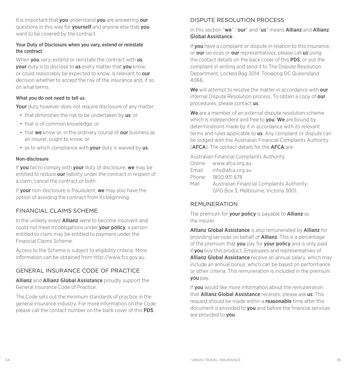It is important that you understand you are answering our questions in this way for **yourself** and anyone else that **you** want to be covered by the contract.

#### Your Duty of Disclosure when you vary, extend or reinstate the contract

When **you** vary, extend or reinstate the contract with **us**. your duty is to disclose to us every matter that you know, or could reasonably be expected to know, is relevant to our decision whether to accept the risk of the insurance and, if so, on what terms.

#### What you do not need to tell us

Your duty however does not require disclosure of any matter:

- that diminishes the risk to be undertaken by us; or
- that is of common knowledge; or
- that we know or, in the ordinary course of our business as an insurer, ought to know; or
- as to which compliance with your duty is waived by us.

#### Non-disclosure

If you fail to comply with your duty of disclosure, we may be entitled to reduce our liability under the contract in respect of a claim, cancel the contract or both.

If your non-disclosure is fraudulent, we may also have the option of avoiding the contract from its beginning.

## FINANCIAL CLAIMS SCHEME

In the unlikely event Allianz were to become insolvent and could not meet its obligations under your policy, a person entitled to claim may be entitled to payment under the Financial Claims Scheme.

Access to the Scheme is subject to eligibility criteria. More information can be obtained from<http://www.fcs.gov.au>.

## GENERAL INSURANCE CODE OF PRACTICE

Allianz and Allianz Global Assistance proudly support the General Insurance Code of Practice.

The Code sets out the minimum standards of practice in the general insurance industry. For more information on the Code please call the contact number on the back cover of this PDS.

## DISPUTE RESOLUTION PROCESS

#### In this section "we", "our" and "us" means Allianz and Allianz Global Assistance.

If **vou** have a complaint or dispute in relation to this insurance. or our services or our representatives, please call us using the contact details on the back cover of this PDS, or put the complaint in writing and send it to The Dispute Resolution Department, Locked Bag 3014, Toowong DC Queensland 4066.

We will attempt to resolve the matter in accordance with our Internal Dispute Resolution process. To obtain a copy of our procedures, please contact us.

We are a member of an external dispute resolution scheme which is independent and free to you. We are bound by determinations made by it in accordance with its relevant terms and rules applicable to **us**. Any complaint or dispute can be lodged with the Australian Financial Complaints Authority (AFCA). The contact details for the AFCA are:

Australian Financial Complaints Authority

- Email: info@afca.org.au
- Phone: 1800 931 678
- Mail: Australian Financial Complaints Authority, GPO Box 3, Melbourne, Victoria 3001.

#### REMUNERATION

The premium for your policy is payable to Allianz as the insurer.

Allianz Global Assistance is also remunerated by Allianz for providing services on behalf of **Allianz**. This is a percentage of the premium that you pay for your policy and is only paid if you buy this product. Employees and representatives of Allianz Global Assistance receive an annual salary, which may include an annual bonus, which can be based on performance or other criteria. This remuneration is included in the premium you pay.

If **vou** would like more information about the remuneration that Allianz Global Assistance receives, please ask us. This request should be made within a **reasonable** time after this document is provided to you and before the financial services are provided to you.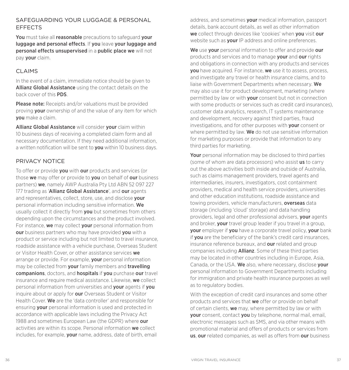## SAFEGUARDING YOUR LUGGAGE & PERSONAL EFFECTS

You must take all reasonable precautions to safeguard your luggage and personal effects. If you leave your luggage and personal effects unsupervised in a public place we will not pay your claim.

## CLAIMS

In the event of a claim, immediate notice should be given to Allianz Global Assistance using the contact details on the back cover of this PDS.

Please note: Receipts and/or valuations must be provided proving **your** ownership of and the value of any item for which you make a claim.

Allianz Global Assistance will consider your claim within 10 business days of receiving a completed claim form and all necessary documentation. If they need additional information, a written notification will be sent to **vou** within 10 business days.

## PRIVACY NOTICE

To offer or provide **you** with **our** products and services (or those we may offer or provide to vou on behalf of our business partners) we, namely AWP Australia Pty Ltd ABN 52 097 227 177 trading as 'Allianz Global Assistance', and our agents and representatives, collect, store, use, and disclose your personal information including sensitive information. We usually collect it directly from **you** but sometimes from others depending upon the circumstances and the product involved. For instance, we may collect vour personal information from our business partners who may have provided you with a product or service including but not limited to travel insurance, roadside assistance with a vehicle purchase, Overseas Student or Visitor Health Cover, or other assistance services we arrange or provide. For example, **vour** personal information may be collected from **your** family members and **travelling** companions, doctors, and hospitals if you purchase our travel insurance and require medical assistance. Likewise, we collect personal information from universities and your agents if you inquire about or apply for **our** Overseas Student or Visitor Health Cover. We are the 'data controller' and responsible for ensuring **your** personal information is used and protected in accordance with applicable laws including the Privacy Act 1988 and sometimes European Law (the GDPR) where our activities are within its scope. Personal information we collect includes, for example, **your** name, address, date of birth, email

address, and sometimes your medical information, passport details, bank account details, as well as other information we collect through devices like 'cookies' when you visit our website such as **your** IP address and online preferences.

We use your personal information to offer and provide our products and services and to manage your and our rights and obligations in connection with any products and services **vou** have acquired. For instance, **we** use it to assess, process, and investigate any travel or health insurance claims, and to liaise with Government Departments when necessary. We may also use it for product development, marketing (where permitted by law or with **your** consent but not in connection with some products or services such as credit card insurances) customer data analytics, research, IT systems maintenance and development, recovery against third parties, fraud investigations, and for other purposes with your consent or where permitted by law. We do not use sensitive information for marketing purposes or provide that information to any third parties for marketing.

Your personal information may be disclosed to third parties (some of whom are data processors) who assist us to carry out the above activities both inside and outside of Australia, such as claims management providers, travel agents and intermediaries, insurers, investigators, cost containment providers, medical and health service providers, universities and other education institutions, roadside assistance and towing providers, vehicle manufacturers, **overseas** data storage (including 'cloud' storage) and data handling providers, legal and other professional advisers, **your** agents and broker, your travel group leader if you travel in a group, your employer if you have a corporate travel policy, your bank if you are the beneficiary of the bank's credit card insurances, insurance reference bureaux, and **our** related and group companies including Allianz. Some of these third parties may be located in other countries including in Europe, Asia, Canada, or the USA. We also, where necessary, disclose your personal information to Government Departments including for immigration and private health insurance purposes as well as to regulatory bodies.

With the exception of credit card insurances and some other products and services that we offer or provide on behalf of certain clients, we may, where permitted by law or with your consent, contact you by telephone, normal mail, email, electronic messages such as SMS, and via other means with promotional material and offers of products or services from us, our related companies, as well as offers from our business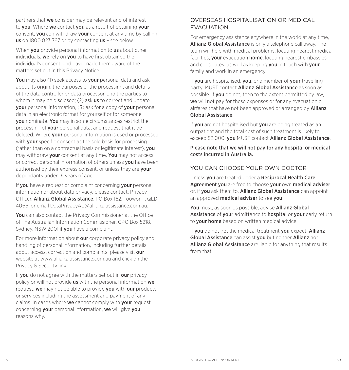partners that we consider may be relevant and of interest to vou. Where we contact you as a result of obtaining your consent, you can withdraw your consent at any time by calling us on 1800 023 767 or by contacting us – see below.

When **you** provide personal information to **us** about other individuals, we rely on you to have first obtained the individual's consent, and have made them aware of the matters set out in this Privacy Notice.

You may also (1) seek access to your personal data and ask about its origin, the purposes of the processing, and details of the data controller or data processor, and the parties to whom it may be disclosed; (2) ask **us** to correct and update **vour** personal information, (3) ask for a copy of **your** personal data in an electronic format for yourself or for someone you nominate. You may in some circumstances restrict the processing of **your** personal data, and request that it be deleted. Where **your** personal information is used or processed with **vour** specific consent as the sole basis for processing (rather than on a contractual basis or legitimate interest), you may withdraw your consent at any time. You may not access or correct personal information of others unless **you** have been authorised by their express consent, or unless they are **your** dependants under 16 years of age.

If you have a request or complaint concerning your personal information or about data privacy, please contact: Privacy Officer, Allianz Global Assistance, PO Box 162, Toowong, QLD 4066, or email [DataPrivacyAU@allianz-assistance.com.au.](mailto:DataPrivacyAU%40allianz-assistance.com.au?subject=)

You can also contact the Privacy Commissioner at the Office of The Australian Information Commissioner, GPO Box 5218, Sydney, NSW 2001 if you have a complaint.

For more information about **our** corporate privacy policy and handling of personal information, including further details about access, correction and complaints, please visit our website at [www.allianz-assistance.com.au](http://www.allianz-assistance.com.au) and click on the Privacy & Security link.

If you do not agree with the matters set out in our privacy policy or will not provide us with the personal information we request, we may not be able to provide you with our products or services including the assessment and payment of any claims. In cases where we cannot comply with your request concerning **your** personal information, we will give you reasons why.

## OVERSEAS HOSPITALISATION OR MEDICAL EVACUATION

For emergency assistance anywhere in the world at any time, Allianz Global Assistance is only a telephone call away. The team will help with medical problems, locating nearest medical facilities, your evacuation home, locating nearest embassies and consulates, as well as keeping you in touch with your family and work in an emergency.

If you are hospitalised, you, or a member of your travelling party, MUST contact Allianz Global Assistance as soon as possible. If **you** do not, then to the extent permitted by law. we will not pay for these expenses or for any evacuation or airfares that have not been approved or arranged by **Allianz** Global Assistance.

If you are not hospitalised but you are being treated as an outpatient and the total cost of such treatment is likely to exceed \$2,000, you MUST contact Allianz Global Assistance.

Please note that we will not pay for any hospital or medical costs incurred in Australia.

## YOU CAN CHOOSE YOUR OWN DOCTOR

Unless you are treated under a Reciprocal Health Care Agreement you are free to choose your own medical adviser or, if you ask them to, **Allianz Global Assistance** can appoint an approved medical adviser to see you.

You must, as soon as possible, advise Allianz Global Assistance of your admittance to hospital or your early return to your home based on written medical advice.

If you do not get the medical treatment you expect, Allianz Global Assistance can assist you but neither Allianz nor Allianz Global Assistance are liable for anything that results from that.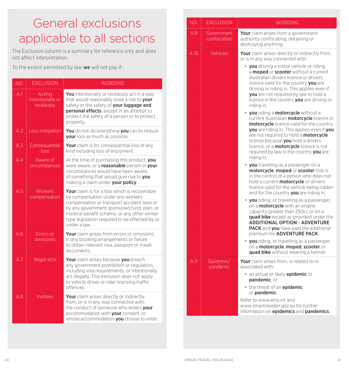## General exclusions applicable to all sections

The Exclusion column is a summary for reference only and does not affect interpretation.

To the extent permitted by law we will not pay if:

| NO. | <b>EXCLUSION</b>                         | <b>WORDING</b>                                                                                                                                                                                                                                                                                          |
|-----|------------------------------------------|---------------------------------------------------------------------------------------------------------------------------------------------------------------------------------------------------------------------------------------------------------------------------------------------------------|
| A.1 | Acting<br>intentionally or<br>recklessly | You intentionally or recklessly act in a way<br>that would reasonably pose a risk to your<br>safety or the safety of your luggage and<br>personal effects, except in an attempt to<br>protect the safety of a person or to protect<br>property.                                                         |
| A.2 | Loss mitigation                          | You do not do everything you can to reduce<br>your loss as much as possible.                                                                                                                                                                                                                            |
| A.3 | Consequential<br>loss                    | Your claim is for consequential loss of any<br>kind including loss of enjoyment.                                                                                                                                                                                                                        |
| A.4 | Aware of<br>circumstances                | At the time of purchasing this product, you<br>were aware, or a reasonable person in your<br>circumstances would have been aware.<br>of something that would give rise to you<br>making a claim under your policy.                                                                                      |
| A.5 | Workers<br>compensation                  | <b>Your</b> claim is for a loss which is recoverable<br>by compensation under any workers<br>compensation or transport accident laws or<br>by any government sponsored fund, plan, or<br>medical benefit scheme, or any other similar<br>type legislation required to be effected by or<br>under a law. |
| A.6 | Errors or<br>omissions                   | <b>Your</b> claim arises from errors or omissions<br>in any booking arrangements or failure<br>to obtain relevant visa, passport or travel<br>documents                                                                                                                                                 |
| A.7 | Illegal acts                             | Your claim arises because you breach<br>any government prohibition or regulation,<br>including visa requirements, or intentionally<br>act illegally. This exclusion does not apply<br>to vehicle driver or rider licensing traffic<br>offences.                                                         |
| A.8 | Invitees                                 | Your claim arises directly or indirectly<br>from, or is in any way connected with,<br>the conduct of someone who enters your<br>accommodation with your consent, or<br>whose accommodation you choose to enter.                                                                                         |

| NO.  | <b>EXCLUSION</b>           | <b>WORDING</b>                                                                                                                                                                                                                                                                                                                                                                    |
|------|----------------------------|-----------------------------------------------------------------------------------------------------------------------------------------------------------------------------------------------------------------------------------------------------------------------------------------------------------------------------------------------------------------------------------|
| A.9  | Government<br>confiscation | <b>Your</b> claim arises from a government<br>authority confiscating, detaining or<br>destroying anything.                                                                                                                                                                                                                                                                        |
| A.10 | Vehicles                   | Your claim arises directly or indirectly from,<br>or is in any way connected with:                                                                                                                                                                                                                                                                                                |
|      |                            | <b>you</b> driving a motor vehicle or riding<br>a <b>moped</b> or <b>scooter</b> without a current<br>Australian drivers licence or drivers<br>licence valid for the country vou are<br>driving or riding in. This applies even if<br><b>you</b> are not required by law to hold a<br>licence in the country you are driving or<br>riding in:                                     |
|      |                            | • you riding a motorcycle without a<br>current Australian <b>motorcycle</b> licence or<br>motorcycle licence valid for the country<br>you are riding in. This applies even if you<br>are not required to hold a <b>motorcycle</b><br>licence because you hold a drivers<br>licence, or a <b>motorcycle</b> licence is not<br>required by law in the country you are<br>riding in: |
|      |                            | • you travelling as a passenger on a<br>motorcycle, moped or scooter that is<br>in the control of a person who does not<br>hold a current <b>motorcycle</b> or drivers<br>licence valid for the vehicle being ridden<br>and for the country <b>you</b> are riding in;                                                                                                             |
|      |                            | • you riding, or travelling as a passenger,<br>on a <b>motorcycle</b> with an engine<br>capacity greater than 250cc or on a<br><b>quad bike</b> except as provided under the<br><b>ADDITIONAL OPTION - ADVENTURE</b><br><b>PACK</b> and you have paid the additional<br>premium for <b>ADVENTURE PACK</b> :                                                                       |
|      |                            | • you riding, or travelling as a passenger,<br>on a motorcycle, moped, scooter or<br>quad bike without wearing a helmet.                                                                                                                                                                                                                                                          |
| A.11 | Epidemic/<br>pandemic      | Your claim arises from, is related to or<br>associated with:                                                                                                                                                                                                                                                                                                                      |
|      |                            | • an actual or likely epidemic or<br>pandemic; or                                                                                                                                                                                                                                                                                                                                 |
|      |                            | • the threat of an epidemic<br>or pandemic.                                                                                                                                                                                                                                                                                                                                       |
|      |                            | Refer to www.who.int and<br>www.smartraveller.gov.au for further<br>information on epidemics and pandemics.                                                                                                                                                                                                                                                                       |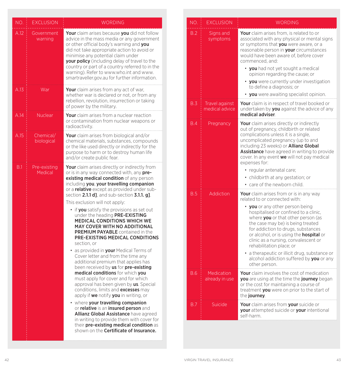| NO.        | <b>EXCLUSION</b>        | <b>WORDING</b>                                                                                                                                                                                                                                                                                                                                                                                                                                                                                                                                                                                                                                                                                                                                                                                                                                                                                                                                                                                                                                                                                                                                                                                                                                                                         |
|------------|-------------------------|----------------------------------------------------------------------------------------------------------------------------------------------------------------------------------------------------------------------------------------------------------------------------------------------------------------------------------------------------------------------------------------------------------------------------------------------------------------------------------------------------------------------------------------------------------------------------------------------------------------------------------------------------------------------------------------------------------------------------------------------------------------------------------------------------------------------------------------------------------------------------------------------------------------------------------------------------------------------------------------------------------------------------------------------------------------------------------------------------------------------------------------------------------------------------------------------------------------------------------------------------------------------------------------|
| A.12       | Government<br>warning   | <b>Your</b> claim arises because <b>vou</b> did not follow<br>advice in the mass media or any government<br>or other official body's warning and you<br>did not take appropriate action to avoid or<br>minimise any potential claim under<br>your policy (including delay of travel to the<br>country or part of a country referred to in the<br>warning). Refer to www.who.int and www.<br>smartraveller.gov.au for further information.                                                                                                                                                                                                                                                                                                                                                                                                                                                                                                                                                                                                                                                                                                                                                                                                                                              |
| A.13       | War                     | <b>Your</b> claim arises from any act of war,<br>whether war is declared or not, or from any<br>rebellion, revolution, insurrection or taking<br>of power by the military.                                                                                                                                                                                                                                                                                                                                                                                                                                                                                                                                                                                                                                                                                                                                                                                                                                                                                                                                                                                                                                                                                                             |
| A.14       | <b>Nuclear</b>          | <b>Your</b> claim arises from a nuclear reaction<br>or contamination from nuclear weapons or<br>radioactivity.                                                                                                                                                                                                                                                                                                                                                                                                                                                                                                                                                                                                                                                                                                                                                                                                                                                                                                                                                                                                                                                                                                                                                                         |
| A.15       | Chemical/<br>biological | <b>Your</b> claim arises from biological and/or<br>chemical materials, substances, compounds<br>or the like used directly or indirectly for the<br>purpose to harm or to destroy human life<br>and/or create public fear.                                                                                                                                                                                                                                                                                                                                                                                                                                                                                                                                                                                                                                                                                                                                                                                                                                                                                                                                                                                                                                                              |
| <b>B.1</b> | Pre-existing<br>Medical | Your claim arises directly or indirectly from<br>or is in any way connected with, any <b>pre-</b><br>existing medical condition of any person<br>including you, your travelling companion<br>or a relative except as provided under sub-<br>section <b>2.1.1 d]</b> , and sub-section <b>3.1.1. g]</b> .<br>This exclusion will not apply:<br>• if you satisfy the provisions as set out<br>under the heading PRE-EXISTING<br><b>MEDICAL CONDITIONS WHICH WE</b><br>MAY COVER WITH NO ADDITIONAL<br><b>PREMIUM PAYABLE</b> contained in the<br><b>PRE-EXISTING MEDICAL CONDITIONS</b><br>section, or<br>as provided in <b>your</b> Medical Terms of<br>Cover letter and from the time any<br>additional premium that applies has<br>been received by <b>us</b> for <b>pre-existing</b><br>medical conditions for which you<br>must apply for cover and for which<br>approval has been given by <b>us</b> . Special<br>conditions, limits and <b>excesses</b> may<br>apply if <b>we</b> notify <b>you</b> in writing, or<br>• where your travelling companion<br>or relative is an insured person and<br>Allianz Global Assistance have agreed<br>in writing to provide them with cover for<br>their pre-existing medical condition as<br>shown on the <b>Certificate of Insurance.</b> |

| NO.        | <b>EXCLUSION</b>                    | <b>WORDING</b>                                                                                                                                                                                                                                                                                                                                                                                     |
|------------|-------------------------------------|----------------------------------------------------------------------------------------------------------------------------------------------------------------------------------------------------------------------------------------------------------------------------------------------------------------------------------------------------------------------------------------------------|
| B.2        | Signs and<br>symptoms               | Your claim arises from, is related to or<br>associated with any physical or mental signs<br>or symptoms that you were aware, or a<br>reasonable person in <b>your</b> circumstances<br>would have been aware of, before cover<br>commenced, and:<br>• you had not yet sought a medical                                                                                                             |
|            |                                     | opinion regarding the cause; or                                                                                                                                                                                                                                                                                                                                                                    |
|            |                                     | • you were currently under investigation<br>to define a diagnosis: or                                                                                                                                                                                                                                                                                                                              |
|            |                                     | • you were awaiting specialist opinion.                                                                                                                                                                                                                                                                                                                                                            |
| B.3        | Travel against<br>medical advice    | <b>Your</b> claim is in respect of travel booked or<br>undertaken by you against the advice of any<br>medical adviser.                                                                                                                                                                                                                                                                             |
| B.4        | Pregnancy                           | Your claim arises directly or indirectly<br>out of pregnancy, childbirth or related<br>complications unless it is a single,<br>uncomplicated pregnancy (up to and<br>including 23 weeks) or <b>Allianz Global</b><br><b>Assistance</b> have agreed in writing to provide<br>cover. In any event we will not pay medical<br>expenses for:                                                           |
|            |                                     | · regular antenatal care;                                                                                                                                                                                                                                                                                                                                                                          |
|            |                                     | • childbirth at any gestation; or                                                                                                                                                                                                                                                                                                                                                                  |
| B.5        | Addiction                           | • care of the newborn child.                                                                                                                                                                                                                                                                                                                                                                       |
|            |                                     | <b>Your</b> claim arises from or is in any way<br>related to or connected with:<br>• you or any other person being<br>hospitalised or confined to a clinic.<br>where you or that other person (as<br>the case may be) is being treated<br>for addiction to drugs, substances<br>or alcohol, or is using the <b>hospital</b> or<br>clinic as a nursing, convalescent or<br>rehabilitation place; or |
|            |                                     | • a therapeutic or illicit drug, substance or<br>alcohol addiction suffered by you or any<br>other person.                                                                                                                                                                                                                                                                                         |
| B.6        | <b>Medication</b><br>already in use | <b>Your</b> claim involves the cost of medication<br>you are using at the time the journey began<br>or the cost for maintaining a course of<br>treatment you were on prior to the start of<br>the journey.                                                                                                                                                                                         |
| <b>B.7</b> | Suicide                             | Your claim arises from your suicide or<br><b>your</b> attempted suicide or your intentional<br>self-harm.                                                                                                                                                                                                                                                                                          |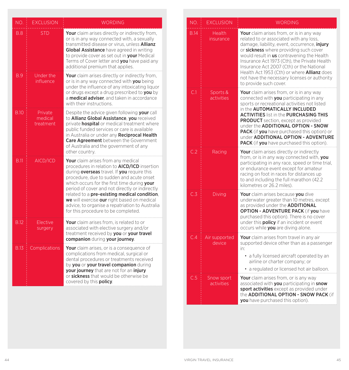| NO.         | <b>EXCLUSION</b>                | <b>WORDING</b>                                                                                                                                                                                                                                                                                                                                                                                                                                                                               |
|-------------|---------------------------------|----------------------------------------------------------------------------------------------------------------------------------------------------------------------------------------------------------------------------------------------------------------------------------------------------------------------------------------------------------------------------------------------------------------------------------------------------------------------------------------------|
| <b>B.8</b>  | <b>STD</b>                      | Your claim arises directly or indirectly from.<br>or is in any way connected with, a sexually<br>transmitted disease or virus, unless Allianz<br>Global Assistance have agreed in writing<br>to provide cover as set out in your Medical<br>Terms of Cover letter and you have paid any<br>additional premium that applies.                                                                                                                                                                  |
| <b>B.9</b>  | Under the<br>influence          | Your claim arises directly or indirectly from,<br>or is in any way connected with you being<br>under the influence of any intoxicating liquor<br>or drugs except a drug prescribed to you by<br>a medical adviser, and taken in accordance<br>with their instructions.                                                                                                                                                                                                                       |
| <b>B.10</b> | Private<br>medical<br>treatment | Despite the advice given following <b>your</b> call<br>to <b>Allianz Global Assistance</b> , vou received<br>private <b>hospital</b> or medical treatment where<br>public funded services or care is available<br>in Australia or under any Reciprocal Health<br><b>Care Agreement</b> between the Government<br>of Australia and the government of any<br>other country.                                                                                                                    |
| <b>B.11</b> | AICD/ICD                        | <b>Your</b> claim arises from any medical<br>procedures in relation to <b>AICD/ICD</b> insertion<br>during <b>overseas</b> travel. If you require this<br>procedure, due to sudden and acute onset<br>which occurs for the first time during your<br>period of cover and not directly or indirectly<br>related to a pre-existing medical condition.<br>we will exercise our right based on medical<br>advice, to organise a repatriation to Australia<br>for this procedure to be completed. |
| <b>B.12</b> | Elective<br>surgery             | Your claim arises from. is related to or<br>associated with elective surgery and/or<br>treatment received by you or your travel<br>companion during your journey.                                                                                                                                                                                                                                                                                                                            |
| B.13        | Complications                   | <b>Your</b> claim arises, or is a consequence of<br>complications from medical, surgical or<br>dental procedures or treatments received<br>by you or your travel companion during<br>your journey that are not for an injury<br>or sickness that would be otherwise be<br>covered by this policy.                                                                                                                                                                                            |

| NO.         | <b>EXCLUSION</b>         | <b>WORDING</b>                                                                                                                                                                                                                                                                                                                                                                                                                                                               |
|-------------|--------------------------|------------------------------------------------------------------------------------------------------------------------------------------------------------------------------------------------------------------------------------------------------------------------------------------------------------------------------------------------------------------------------------------------------------------------------------------------------------------------------|
| <b>B.14</b> | Health<br>insurance      | <b>Your</b> claim arises from, or is in any way<br>related to or associated with any loss,<br>damage, liability, event, occurrence, <i>injury</i><br>or sickness where providing such cover<br>would result in <b>us</b> contravening the Health<br>Insurance Act 1973 (Cth), the Private Health<br>Insurance Act 2007 (Cth) or the National<br>Health Act 1953 (Cth) or where <b>Allianz</b> does<br>not have the necessary licenses or authority<br>to provide such cover. |
| C.1         | Sports &<br>activities   | Your claim arises from, or is in any way<br>connected with you participating in any<br>sports or recreational activities not listed<br>in the <b>AUTOMATICALLY INCLUDED</b><br><b>ACTIVITIES</b> list in the <b>PURCHASING THIS</b><br><b>PRODUCT</b> section, except as provided<br>under the ADDITIONAL OPTION - SNOW<br><b>PACK</b> (if you have purchased this option) or<br>under ADDITIONAL OPTION - ADVENTURE<br>PACK (if you have purchased this option).            |
| C.2         | Racing                   | <b>Your</b> claim arises directly or indirectly<br>from, or is in any way connected with, you<br>participating in any race, speed or time trial,<br>or endurance event except for amateur<br>racing on foot in races for distances up<br>to and including the full marathon (42.2)<br>kilometres or 26.2 miles).                                                                                                                                                             |
| C.3         | Diving                   | Your claim arises because you dive<br>underwater greater than 10 metres, except<br>as provided under the <b>ADDITIONAL</b><br><b>OPTION - ADVENTURE PACK (if you have</b><br>purchased this option). There is no cover<br>under this <b>policy</b> if an incident or event<br>occurs while you are diving alone.                                                                                                                                                             |
| C.4         | Air supported<br>device  | <b>Your</b> claim arises from travel in any air<br>supported device other than as a passenger<br>in:<br>• a fully licensed aircraft operated by an<br>airline or charter company; or<br>a regulated or licensed hot air balloon.                                                                                                                                                                                                                                             |
| C.5         | Snow sport<br>activities | Your claim arises from, or is any way<br>associated with you participating in snow<br><b>sport activities</b> except as provided under<br>the <b>ADDITIONAL OPTION - SNOW PACK</b> (if<br>you have purchased this option).                                                                                                                                                                                                                                                   |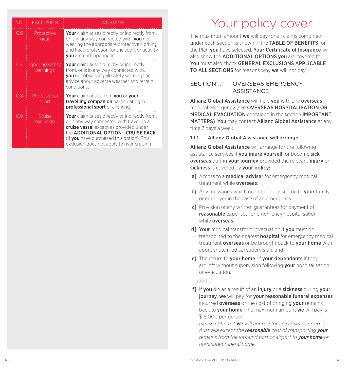| NO. | <b>FXCLUSION</b>            | <b>WORDING</b>                                                                                                                                                                                                                                                                        |
|-----|-----------------------------|---------------------------------------------------------------------------------------------------------------------------------------------------------------------------------------------------------------------------------------------------------------------------------------|
| C.6 | Protective<br>gear          | <b>Your</b> claim arises directly or indirectly from,<br>or is in any way connected with, you not<br>wearing the appropriate protective clothing<br>and head protection for the sport or activity<br><b>you</b> are participating in.                                                 |
| C.7 | Ignoring safety<br>warnings | <b>Your</b> claim arises directly or indirectly<br>from, or is in any way connected with.<br><b>you</b> not observing all safety warnings and<br>advice about adverse weather and terrain<br>conditions.                                                                              |
| C.8 | Professional<br>sport       | Your claim arises from you or your<br>travelling companion participating in<br>professional sport of any kind.                                                                                                                                                                        |
| Cθ  | Cruise<br>exclusion         | <b>Your</b> claim arises directly or indirectly from,<br>or is any way connected with travel on a<br>cruise vessel except as provided under<br>the <b>ADDITIONAL OPTION - CRUISE PACK</b><br>(if you have purchased this option). This<br>exclusion does not apply to river cruising. |

## Your policy cover

The maximum amount we will pay for all claims combined under each section is shown in the **TABLE OF BENFFITS** for the Plan you have selected. Your Certificate of Insurance will also show the **ADDITIONAL OPTIONS you** are covered for You must also check GENERAL EXCLUSIONS APPLICABLE TO ALL SECTIONS for reasons why we will not pay.

## SECTION 11 OVERSEAS EMERGENCY **ASSISTANCE**

Allianz Global Assistance will help you with any overseas medical emergency (see OVERSEAS HOSPITALISATION OR MEDICAL EVACUATION contained in the section IMPORTANT MATTERS). You may contact Allianz Global Assistance at any time 7 days a week.

#### 1.1.1 Allianz Global Assistance will arrange

Allianz Global Assistance will arrange for the following assistance services if you injure yourself, or become sick overseas during your journey provided the relevant injury or sickness is covered by your policy:

- a] Access to a **medical adviser** for emergency medical treatment while overseas;
- b] Any messages which need to be passed on to **your** family or employer in the case of an emergency;
- c] Provision of any written guarantees for payment of reasonable expenses for emergency hospitalisation while **overseas**:
- d] Your medical transfer or evacuation if you must be transported to the nearest **hospital** for emergency medical treatment **overseas** or be brought back to **vour home** with appropriate medical supervision; and
- el The return to **your home** of **your dependants** if they are left without supervision following **your** hospitalisation or evacuation.

In addition:

f1 If you die as a result of an injury or a sickness during your journey, we will pay for your reasonable funeral expenses incurred **overseas** or the cost of bringing **your** remains back to your home. The maximum amount we will pay is \$15,000 per person.

*Please note that we will not pay for any costs incurred in Australia except the reasonable cost of transporting your remains from the inbound port or airport to your home or nominated funeral home.*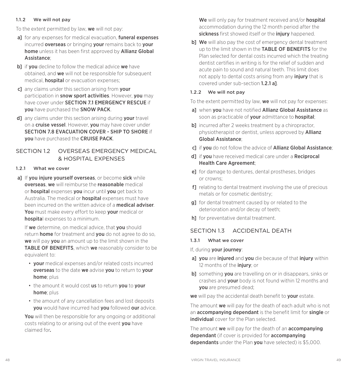#### 1.1.2 We will not pay

To the extent permitted by law, we will not pay:

- a] for any expenses for medical evacuation, funeral expenses incurred **overseas** or bringing **your** remains back to **your** home unless it has been first approved by Allianz Global Assistance;
- b] if you decline to follow the medical advice we have obtained, and we will not be responsible for subsequent medical, hospital or evacuation expenses;
- c] any claims under this section arising from your participation in snow sport activities. However, you may have cover under SECTION 7.1 EMERGENCY RESCUE if you have purchased the SNOW PACK.
- d any claims under this section arising during vour travel on a cruise vessel. However, you may have cover under SECTION 7.8 EVACUATION COVER - SHIP TO SHORE if you have purchased the CRUISE PACK.

## SECTION 1.2 OVERSEAS EMERGENCY MEDICAL & HOSPITAL EXPENSES

#### 1.2.1 What we cover

a] If you injure yourself overseas, or become sick while overseas, we will reimburse the reasonable medical or hospital expenses you incur until you get back to Australia. The medical or **hospital** expenses must have been incurred on the written advice of a medical adviser. You must make every effort to keep your medical or hospital expenses to a minimum.

If we determine, on medical advice, that you should return **home** for treatment and you do not agree to do so, we will pay you an amount up to the limit shown in the TABLE OF BENEFITS, which we reasonably consider to be equivalent to:

- your medical expenses and/or related costs incurred overseas to the date we advise you to return to your home; plus
- the amount it would cost us to return you to your home: plus
- the amount of any cancellation fees and lost deposits you would have incurred had you followed our advice.

You will then be responsible for any ongoing or additional costs relating to or arising out of the event you have claimed for*.*

We will only pay for treatment received and/or hospital accommodation during the 12 month period after the sickness first showed itself or the injury happened.

b] We will also pay the cost of emergency dental treatment up to the limit shown in the **TABLE OF BENEFITS** for the Plan selected for dental costs incurred which the treating dentist certifies in writing is for the relief of sudden and acute pain to sound and natural teeth. This limit does not apply to dental costs arising from any *injury* that is covered under sub-section 1.2.1 a].

#### 1.2.2 We will not pay

To the extent permitted by law, we will not pay for expenses:

- al when you have not notified Allianz Global Assistance as soon as practicable of your admittance to hospital;
- **b**] incurred after 2 weeks treatment by a chiropractor, physiotherapist or dentist, unless approved by **Allianz** Global Assistance;
- c] if you do not follow the advice of Allianz Global Assistance;
- d] if you have received medical care under a Reciprocal Health Care Agreement;
- e] for damage to dentures, dental prostheses, bridges or crowns;
- f1 relating to dental treatment involving the use of precious metals or for cosmetic dentistry;
- g] for dental treatment caused by or related to the deterioration and/or decay of teeth;
- h] for preventative dental treatment.

## SECTION 1.3 ACCIDENTAL DEATH

#### 1.3.1 What we cover

If, during your journey:

- al vou are injured and vou die because of that injury within 12 months of the *injury*; or
- **b**] something **you** are travelling on or in disappears, sinks or crashes and your body is not found within 12 months and you are presumed dead;

we will pay the accidental death benefit to your estate.

The amount we will pay for the death of each adult who is not an accompanying dependant is the benefit limit for single or individual cover for the Plan selected.

The amount we will pay for the death of an **accompanying** dependant (if cover is provided for accompanying dependants under the Plan you have selected) is \$5,000.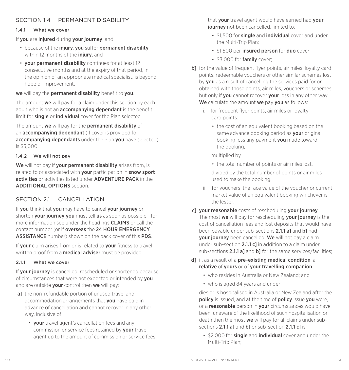## SECTION 14 PERMANENT DISABILITY

#### 141 What we cover

If you are injured during your journey; and

- because of the injury, you suffer permanent disability within 12 months of the *injury*; and
- your permanent disability continues for at least 12 consecutive months and at the expiry of that period, in the opinion of an appropriate medical specialist, is beyond hope of improvement,

we will pay the permanent disability benefit to you.

The amount we will pay for a claim under this section by each adult who is not an **accompanying dependant** is the benefit limit for **single** or *individual* cover for the Plan selected.

The amount we will pay for the permanent disability of an accompanying dependant (if cover is provided for accompanying dependants under the Plan you have selected) is \$5,000.

#### 1.4.2 We will not pay

We will not pay if your permanent disability arises from, is related to or associated with **your** participation in **snow sport** activities or activities listed under ADVENTURE PACK in the ADDITIONAL OPTIONS section.

## SECTION 2.1 CANCELLATION

If you think that you may have to cancel your journey or shorten **your journey you** must tell us as soon as possible - for more information see under the headings CLAIMS or call the contact number (or if overseas the 24 HOUR EMERGENCY ASSISTANCE number) shown on the back cover of this PDS.

If **vour** claim arises from or is related to **vour** fitness to travel. written proof from a **medical adviser** must be provided.

### 2.11 What we cover

If **vour journey** is cancelled, rescheduled or shortened because of circumstances that were not expected or intended by you and are outside your control then we will pay:

- al the non-refundable portion of unused travel and accommodation arrangements that you have paid in advance of cancellation and cannot recover in any other way, inclusive of:
	- your travel agent's cancellation fees and any commission or service fees retained by your travel agent up to the amount of commission or service fees

that your travel agent would have earned had your **journey** not been cancelled, limited to:

- \$1,500 for **single** and **individual** cover and under the Multi-Trip Plan;
- \$1,500 per insured person for duo cover:
- \$3,000 for family cover;
- b] for the value of frequent flyer points, air miles, loyalty card points, redeemable vouchers or other similar schemes lost by you as a result of cancelling the services paid for or obtained with those points, air miles, vouchers or schemes, but only if you cannot recover your loss in any other way. We calculate the amount we pay you as follows:
	- i. for frequent flyer points, air miles or loyalty card points:
		- the cost of an equivalent booking based on the same advance booking period as your original booking less any payment you made toward the booking,

multiplied by

- the total number of points or air miles lost, divided by the total number of points or air miles used to make the booking.
- ii. for vouchers, the face value of the voucher or current market value of an equivalent booking whichever is the lesser;
- c] your reasonable costs of rescheduling your journey. The most we will pay for rescheduling your journey is the cost of cancellation fees and lost deposits that would have been payable under sub-sections 2.1.1 al and bl had **vour journey** been cancelled. We will not pay a claim under sub-section  $2.1.1 c$ ] in addition to a claim under sub-sections 2.1.1 al and bl for the same services/facilities;
- d] if, as a result of a pre-existing medical condition, a relative of yours or of your travelling companion:
	- who resides in Australia or New Zealand; and
	- who is aged 84 years and under;

dies or is hospitalised in Australia or New Zealand after the **policy** is issued, and at the time of **policy** issue you were, or a **reasonable** person in **your** circumstances would have been, unaware of the likelihood of such hospitalisation or death then the most we will pay for all claims under subsections 2.1.1 al and bl or sub-section 2.1.1 cl is:

• \$2,000 for single and individual cover and under the Multi-Trip Plan;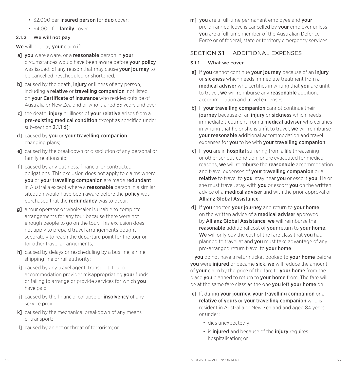- \$2,000 per insured person for duo cover;
- \$4,000 for family cover.

## 2.1.2 We will not pay

We will not pay your claim if:

- al vou were aware, or a reasonable person in vour circumstances would have been aware before your policy was issued, of any reason that may cause **your journey** to be cancelled, rescheduled or shortened;
- b] caused by the death, *injury* or illness of any person. including a relative or travelling companion, not listed on **vour Certificate of Insurance** who resides outside of Australia or New Zealand or who is aged 85 years and over;
- c] the death, injury or illness of your relative arises from a pre-existing medical condition except as specified under sub-section 2.1.1 d];
- d] caused by you or your travelling companion changing plans;
- e] caused by the breakdown or dissolution of any personal or family relationship;
- f] caused by any business, financial or contractual obligations. This exclusion does not apply to claims where you or your travelling companion are made redundant in Australia except where a **reasonable** person in a similar situation would have been aware before the **policy** was purchased that the **redundancy** was to occur;
- **g1** a tour operator or wholesaler is unable to complete arrangements for any tour because there were not enough people to go on the tour. This exclusion does not apply to prepaid travel arrangements bought separately to reach the departure point for the tour or for other travel arrangements;
- h] caused by delays or rescheduling by a bus line, airline, shipping line or rail authority;
- il caused by any travel agent, transport, tour or accommodation provider misappropriating your funds or failing to arrange or provide services for which you have paid;
- j] caused by the financial collapse or *insolvency* of any service provider;
- k] caused by the mechanical breakdown of any means of transport;
- l] caused by an act or threat of terrorism; or

m] you are a full-time permanent employee and your pre-arranged leave is cancelled by your employer unless you are a full-time member of the Australian Defence Force or of federal, state or territory emergency services.

## SECTION 31 ADDITIONAL EXPENSES

### 3.1.1 What we cover

- a] If you cannot continue your journey because of an injury or sickness which needs immediate treatment from a medical adviser who certifies in writing that you are unfit to travel, we will reimburse any reasonable additional accommodation and travel expenses.
- b] If your travelling companion cannot continue their journey because of an injury or sickness which needs immediate treatment from a **medical adviser** who certifies in writing that he or she is unfit to travel, we will reimburse your reasonable additional accommodation and travel expenses for you to be with your travelling companion.
- c] If you are in hospital suffering from a life threatening or other serious condition, or are evacuated for medical reasons, we will reimburse the reasonable accommodation and travel expenses of your travelling companion or a relative to travel to vou, stay near you or escort you. He or she must travel, stay with you or escort you on the written advice of a **medical adviser** and with the prior approval of Allianz Global Assistance.
- d] If you shorten your journey and return to your home on the written advice of a **medical adviser** approved by Allianz Global Assistance, we will reimburse the reasonable additional cost of your return to your home. We will only pay the cost of the fare class that you had planned to travel at and **vou** must take advantage of any pre-arranged return travel to **vour home**.

If you do not have a return ticket booked to your home before you were injured or became sick, we will reduce the amount of your claim by the price of the fare to your home from the place **vou** planned to return to **vour home** from. The fare will be at the same fare class as the one you left your home on.

- el If, during your journey, your travelling companion or a relative of yours or your travelling companion who is resident in Australia or New Zealand and aged 84 years or under:
	- dies unexpectedly;
	- is *injured* and because of the *injury requires* hospitalisation; or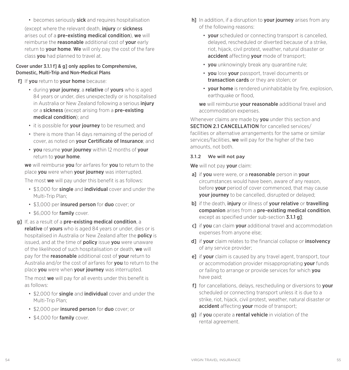• becomes seriously sick and requires hospitalisation (except where the relevant death, *injury* or sickness arises out of a pre-existing medical condition), we will reimburse the **reasonable** additional cost of **your** early return to **your home. We** will only pay the cost of the fare class you had planned to travel at.

#### Cover under 3.1.1 f] & g] only applies to Comprehensive, Domestic, Multi-Trip and Non-Medical Plans

f] If you return to your home because:

- during your journey, a relative of yours who is aged 84 years or under, dies unexpectedly or is hospitalised in Australia or New Zealand following a serious *injury* or a sickness (except arising from a pre-existing medical condition); and
- it is possible for your journey to be resumed; and
- there is more than 14 days remaining of the period of cover, as noted on your Certificate of Insurance; and
- you resume your journey within 12 months of your return to your home.

we will reimburse you for airfares for you to return to the place you were when your journey was interrupted.

The most we will pay under this benefit is as follows:

- \$3,000 for single and individual cover and under the Multi-Trip Plan;
- \$3,000 per insured person for duo cover; or
- \$6,000 for family cover.
- g] If, as a result of a pre-existing medical condition, a relative of yours who is aged 84 years or under, dies or is hospitalised in Australia or New Zealand after the policy is issued, and at the time of **policy** issue **you** were unaware of the likelihood of such hospitalisation or death, we will pay for the **reasonable** additional cost of your return to Australia and/or the cost of airfares for you to return to the place you were when your journey was interrupted.

The most we will pay for all events under this benefit is as follows:

- \$2,000 for single and individual cover and under the Multi-Trip Plan;
- \$2,000 per insured person for duo cover; or
- \$4,000 for family cover.
- h] In addition, if a disruption to **your journey** arises from any of the following reasons:
	- **vour** scheduled or connecting transport is cancelled. delayed, rescheduled or diverted because of a strike, riot, hijack, civil protest, weather, natural disaster or accident affecting your mode of transport;
	- **vou** unknowingly break any quarantine rule;
	- you lose your passport, travel documents or transaction cards or they are stolen; or
	- your home is rendered uninhabitable by fire, explosion, earthquake or flood,

we will reimburse your reasonable additional travel and accommodation expenses.

Whenever claims are made by you under this section and SECTION 2.1 CANCELLATION for cancelled services/ facilities or alternative arrangements for the same or similar services/facilities, we will pay for the higher of the two amounts, not both.

#### 3.1.2 We will not pay

We will not pay your claim:

- a] if you were were, or a reasonable person in your circumstances would have been, aware of any reason, before **your** period of cover commenced, that may cause **vour journey** to be cancelled, disrupted or delayed;
- b] if the death, injury or illness of your relative or travelling companion arises from a pre-existing medical condition, except as specified under sub-section **3.1.1 g**];
- clif you can claim your additional travel and accommodation expenses from anyone else;
- d] if your claim relates to the financial collapse or insolvency of any service provider;
- e] if your claim is caused by any travel agent, transport, tour or accommodation provider misappropriating your funds or failing to arrange or provide services for which you have paid;
- f1 for cancellations, delays, rescheduling or diversions to **your** scheduled or connecting transport unless it is due to a strike, riot, hijack, civil protest, weather, natural disaster or accident affecting your mode of transport;
- **g1** if **you** operate a **rental vehicle** in violation of the rental agreement.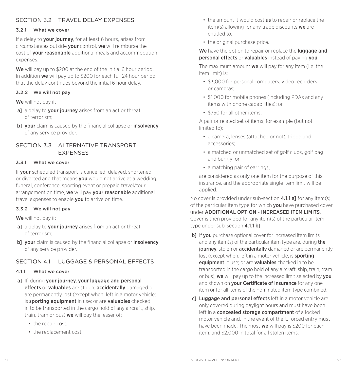## SECTION 3.2 TRAVEL DEL AY EXPENSES

#### 3.2.1 What we cover

If a delay to **your journey**, for at least 6 hours, arises from circumstances outside your control, we will reimburse the cost of your reasonable additional meals and accommodation expenses.

We will pay up to \$200 at the end of the initial 6 hour period. In addition we will pay up to \$200 for each full 24 hour period that the delay continues beyond the initial 6 hour delay.

#### 3.2.2 We will not pay

We will not pay if:

- a] a delay to your journey arises from an act or threat of terrorism;
- b] your claim is caused by the financial collapse or insolvency of any service provider.

## SECTION 3.3 ALTERNATIVE TRANSPORT **EXPENSES**

#### 3.3.1 What we cover

If your scheduled transport is cancelled, delayed, shortened or diverted and that means **you** would not arrive at a wedding. funeral, conference, sporting event or prepaid travel/tour arrangement on time, we will pay your reasonable additional travel expenses to enable **vou** to arrive on time.

#### 3.3.2 We will not pay

We will not pay if:

- a] a delay to your journey arises from an act or threat of terrorism;
- b] your claim is caused by the financial collapse or insolvency of any service provider.

## SECTION 4.1 LUGGAGE & PERSONAL FEFECTS

#### 4.1.1 What we cover

- al If, during your journey, your luggage and personal effects or valuables are stolen, accidentally damaged or are permanently lost (except when: left in a motor vehicle; is sporting equipment in use; or are valuables checked in to be transported in the cargo hold of any aircraft, ship, train, tram or bus) we will pay the lesser of:
	- the repair cost:
	- the replacement cost;
- the amount it would cost us to repair or replace the item(s) allowing for any trade discounts we are entitled to;
- the original purchase price.

We have the option to repair or replace the **luggage and** personal effects or valuables instead of paying you.

The maximum amount  $we$  will pay for any item (i.e. the item limit) is:

- \$3,000 for personal computers, video recorders or cameras;
- \$1,000 for mobile phones (including PDAs and any items with phone capabilities); or
- \$750 for all other items.

A pair or related set of items, for example (but not limited to):

- a camera, lenses (attached or not), tripod and accessories;
- a matched or unmatched set of golf clubs, golf bag and buggy; or
- a matching pair of earrings

are considered as only one item for the purpose of this insurance, and the appropriate single item limit will be applied.

No cover is provided under sub-section  $4.1.1$  al for any item(s) of the particular item type for which **you** have purchased cover under ADDITIONAL OPTION - INCREASED ITEM LIMITS. Cover is then provided for any item(s) of the particular item type under sub-section 4.1.1 b].

- **b]** If **vou** purchase optional cover for increased item limits and any item(s) of the particular item type are, during **the** journey, stolen or accidentally damaged or are permanently lost (except when: left in a motor vehicle; is **sporting** equipment in use; or are valuables checked in to be transported in the cargo hold of any aircraft, ship, train, tram or bus), we will pay up to the increased limit selected by you and shown on **vour Certificate of Insurance** for any one item or for all items of the nominated item type combined.
- c] Luggage and personal effects left in a motor vehicle are only covered during daylight hours and must have been left in a **concealed storage compartment** of a locked motor vehicle and, in the event of theft, forced entry must have been made. The most we will pay is \$200 for each item, and \$2,000 in total for all stolen items.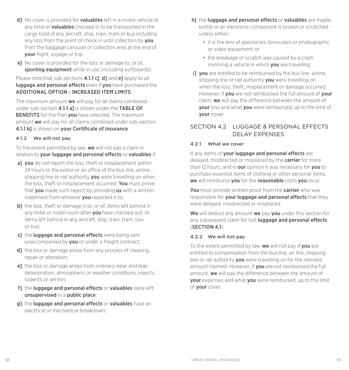- d] No cover is provided for **valuables** left in a motor vehicle at any time or **valuables** checked in to be transported in the cargo hold of any aircraft, ship, train, tram or bus including any loss from the point of check in until collection by **you** from the baggage carousel or collection area at the end of your flight, voyage or trip.
- e] No cover is provided for the loss or damage to, or of, sporting equipment while in use (including surfboards).

Please note that sub-sections **4.1.1 c], d]** and **e]** apply to all luggage and personal effects even if you have purchased the ADDITIONAL OPTION - INCREASED ITEM LIMITS.

The maximum amount we will pay for all claims combined under sub-section 4.1.1 al is shown under the TABLE OF **BENEFITS** for the Plan you have selected. The maximum amount we will pay for all claims combined under sub-section 4.1.1 b] is shown on your Certificate of Insurance.

#### 4.1.2 We will not pay

To the extent permitted by law, we will not pay a claim in relation to your luggage and personal effects or valuables if:

- a] you do not report the loss, theft or misplacement within 24 hours to the police or an office of the bus line, airline, shipping line or rail authority **you** were travelling on when the loss, theft or misplacement occurred. You must prove that you made such report by providing us with a written statement from whoever **vou** reported it to:
- **b**] the loss, theft or damage is to, or of, items left behind in any hotel or motel room after **you** have checked out, or items left behind in any aircraft, ship, train, tram, taxi or bus;
- c1 the luggage and personal effects were being sent unaccompanied by you or under a freight contract;
- d1 the loss or damage arises from any process of cleaning. repair or alteration;
- e] the loss or damage arises from ordinary wear and tear, deterioration, atmospheric or weather conditions, insects, rodents or vermin;
- f1 the luggage and personal effects or valuables were left unsupervised in a public place;
- **g1** the **luggage and personal effects** or **valuables** have an electrical or mechanical breakdown;
- h] the luggage and personal effects or valuables are fragile, brittle or an electronic component is broken or scratched unless either:
	- it is the lens of spectacles, binoculars or photographic or video equipment; or
	- the breakage or scratch was caused by a crash involving a vehicle in which you are travelling;
- i) you are entitled to be reimbursed by the bus line, airline, shipping line or rail authority you were travelling on when the loss, theft, misplacement or damage occurred. However, if **you** are not reimbursed the full amount of **your** claim, we will pay the difference between the amount of your loss and what you were reimbursed, up to the limit of your cover.

## SECTION 4.2 LUGGAGE & PERSONAL FEFECTS DELAY EXPENSES

#### 4.2.1 What we cover

If any items of your luggage and personal effects are delayed, misdirected or misplaced by the **carrier** for more than 12 hours, and in our opinion it was necessary for you to purchase essential items of clothing or other personal items, we will reimburse you for the reasonable costs you incur.

You must provide written proof from the carrier who was responsible for your luggage and personal effects that they were delayed, misdirected or misplaced.

We will deduct any amount we pay you under this section for any subsequent claim for lost **luggage and personal effects** (SECTION 4.1).

#### 4.2.2 We will not pay

To the extent permitted by law, we will not pay if you are entitled to compensation from the bus line, air line, shipping line or rail authority **you** were travelling on for the relevant amount claimed. However, if **you** are not reimbursed the full amount, we will pay the difference between the amount of your expenses and what you were reimbursed, up to the limit of your cover.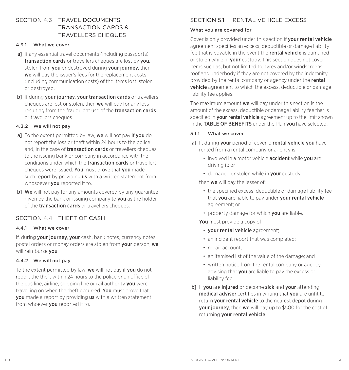## SECTION 4.3 TRAVEL DOCUMENTS TRANSACTION CARDS & TRAVELLERS CHEQUES

#### 4.3.1 What we cover

- a] If any essential travel documents (including passports), transaction cards or travellers cheques are lost by you. stolen from **you** or destroyed during **your journey**, then we will pay the issuer's fees for the replacement costs (including communication costs) of the items lost, stolen or destroyed.
- b] If during your journey, your transaction cards or travellers cheques are lost or stolen, then we will pay for any loss resulting from the fraudulent use of the **transaction cards** or travellers cheques.

#### 4.3.2 We will not pay

- al To the extent permitted by law, we will not pay if you do not report the loss or theft within 24 hours to the police and, in the case of **transaction cards** or travellers cheques. to the issuing bank or company in accordance with the conditions under which the transaction cards or travellers cheques were issued. You must prove that you made such report by providing **us** with a written statement from whosoever **you** reported it to.
- bl We will not pay for any amounts covered by any guarantee given by the bank or issuing company to you as the holder of the **transaction cards** or travellers cheques.

## SECTION 4.4 THEFT OF CASH

#### 4.4.1 What we cover

If, during your journey, your cash, bank notes, currency notes, postal orders or money orders are stolen from your person, we will reimburse vou.

#### 4.4.2 We will not pay

To the extent permitted by law, we will not pay if you do not report the theft within 24 hours to the police or an office of the bus line, airline, shipping line or rail authority you were travelling on when the theft occurred. You must prove that you made a report by providing us with a written statement from whoever **you** reported it to.

## SECTION 51 RENTAL VEHICLE EXCESS

#### What you are covered for

Cover is only provided under this section if your rental vehicle agreement specifies an excess, deductible or damage liability fee that is payable in the event the rental vehicle is damaged or stolen while in your custody. This section does not cover items such as, but not limited to, tyres and/or windscreens, roof and underbody if they are not covered by the indemnity provided by the rental company or agency under the rental vehicle agreement to which the excess, deductible or damage liability fee applies.

The maximum amount **we** will pay under this section is the amount of the excess, deductible or damage liability fee that is specified in your rental vehicle agreement up to the limit shown in the TABLE OF BENEFITS under the Plan you have selected.

#### 5.1.1 What we cover

- a] If, during your period of cover, a rental vehicle you have rented from a rental company or agency is:
	- involved in a motor vehicle **accident** while you are driving it; or
	- damaged or stolen while in your custody,

then we will pay the lesser of:

- the specified excess, deductible or damage liability fee that vou are liable to pay under vour rental vehicle agreement; or
- property damage for which **you** are liable.

You must provide a copy of:

- vour rental vehicle agreement:
- an incident report that was completed;
- repair account:
- an itemised list of the value of the damage; and
- written notice from the rental company or agency advising that you are liable to pay the excess or liability fee.
- b] If you are injured or become sick and your attending medical adviser certifies in writing that you are unfit to return **vour rental vehicle** to the nearest depot during **vour journey**, then we will pay up to \$500 for the cost of returning your rental vehicle.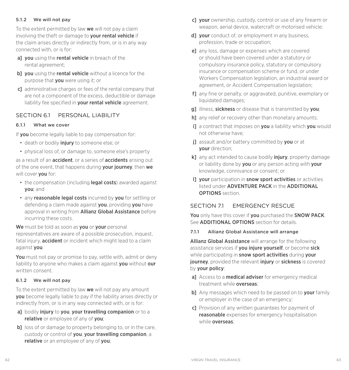#### 5.1.2 We will not pay

To the extent permitted by law we will not pay a claim involving the theft or damage to your rental vehicle if the claim arises directly or indirectly from, or is in any way connected with, or is for:

- a] you using the rental vehicle in breach of the rental agreement;
- b] you using the rental vehicle without a licence for the purpose that you were using it; or
- c] administrative charges or fees of the rental company that are not a component of the excess, deductible or damage liability fee specified in your rental vehicle agreement.

## SECTION 6.1 PERSONAL LIABILITY

#### 6.1.1 What we cover

If you become legally liable to pay compensation for:

- death or bodily *injury* to someone else; or
- physical loss of, or damage to, someone else's property

as a result of an **accident**, or a series of **accidents** arising out of the one event, that happens during **your journey**, then we will cover **you** for:

- the compensation (including **legal costs**) awarded against you; and
- any reasonable legal costs incurred by you for settling or defending a claim made against **you**, providing **you** have approval in writing from **Allianz Global Assistance** before incurring these costs.

We must be told as soon as you or your personal representatives are aware of a possible prosecution, inquest, fatal injury, **accident** or incident which might lead to a claim against you.

You must not pay or promise to pay, settle with, admit or deny liability to anyone who makes a claim against you without our written consent.

#### 6.1.2 We will not pay

To the extent permitted by law we will not pay any amount you become legally liable to pay if the liability arises directly or indirectly from, or is in any way connected with, or is for:

- a] bodily injury to you, your travelling companion or to a relative or employee of any of you;
- b] loss of or damage to property belonging to, or in the care. custody or control of you, your travelling companion, a relative or an employee of any of you;
- c] your ownership, custody, control or use of any firearm or weapon, aerial device, watercraft or motorised vehicle;
- d] your conduct of, or employment in any business. profession, trade or occupation;
- e] any loss, damage or expenses which are covered or should have been covered under a statutory or compulsory insurance policy, statutory or compulsory insurance or compensation scheme or fund, or under Workers Compensation legislation, an industrial award or agreement, or Accident Compensation legislation;
- f] any fine or penalty, or aggravated, punitive, exemplary or liquidated damages;
- g] illness, sickness or disease that is transmitted by you;
- h] any relief or recovery other than monetary amounts;
- i] a contract that imposes on you a liability which you would not otherwise have;
- il assault and/or battery committed by you or at your direction;
- k] any act intended to cause bodily *injury*, property damage or liability done by you or any person acting with your knowledge, connivance or consent; or
- I] your participation in snow sport activities or activities listed under ADVENTURE PACK in the ADDITIONAL OPTIONS section.

## SECTION 7.1 EMERGENCY RESCUE

You only have this cover if you purchased the SNOW PACK. See **ADDITIONAL OPTIONS** section for details.

#### 7.1.1 Allianz Global Assistance will arrange

Allianz Global Assistance will arrange for the following assistance services if you injure yourself, or become sick while participating in snow sport activities during your **journey**, provided the relevant *injury* or **sickness** is covered by your policy:

- a] Access to a **medical adviser** for emergency medical treatment while **overseas**
- b] Any messages which need to be passed on to your family or employer in the case of an emergency;
- c] Provision of any written guarantees for payment of reasonable expenses for emergency hospitalisation while **overseas**: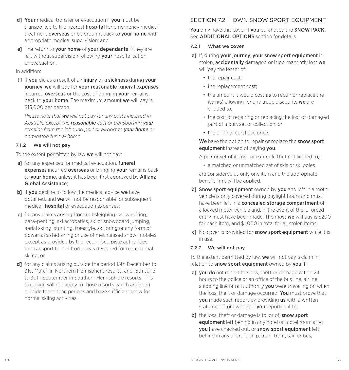- d] Your medical transfer or evacuation if you must be transported to the nearest **hospital** for emergency medical treatment overseas or be brought back to your home with appropriate medical supervision; and
- el The return to your home of your dependants if they are left without supervision following your hospitalisation or evacuation.

In addition:

f1 If you die as a result of an injury or a sickness during your journey, we will pay for your reasonable funeral expenses incurred **overseas** or the cost of bringing **your** remains back to **vour home**. The maximum amount we will pay is \$15,000 per person.

*Please note that we will not pay for any costs incurred in Australia except the reasonable cost of transporting your remains from the inbound port or airport to your home or nominated funeral home.*

#### 7.1.2 We will not pay

To the extent permitted by law we will not pay:

- a] for any expenses for medical evacuation, funeral expenses incurred overseas or bringing your remains back to **vour home**, unless it has been first approved by **Allianz** Global Assistance;
- b] if you decline to follow the medical advice we have obtained, and we will not be responsible for subsequent medical, hospital or evacuation expenses;
- c] for any claims arising from bobsleighing, snow rafting, para-penting, ski acrobatics, ski or snowboard jumping, aerial skiing, stunting, freestyle, ski joring or any form of power-assisted skiing or use of mechanised snow-mobiles except as provided by the recognised piste authorities for transport to and from areas designed for recreational skiing; or
- d] for any claims arising outside the period 15th December to 31st March in Northern Hemisphere resorts, and 15th June to 30th September in Southern Hemisphere resorts. This exclusion will not apply to those resorts which are open outside these time periods and have sufficient snow for normal skiing activities.

## SECTION 72 OWN SNOW SPORT FOURMENT

You only have this cover if you purchased the SNOW PACK. See **ADDITIONAL OPTIONS** section for details.

#### 7.2.1 What we cover

- a] If, during your journey, your snow sport equipment is stolen, **accidentally** damaged or is permanently lost we will pay the lesser of:
	- the repair cost:
	- the replacement cost:
	- the amount it would cost us to repair or replace the item(s) allowing for any trade discounts we are entitled to;
	- the cost of repairing or replacing the lost or damaged part of a pair, set or collection; or
	- the original purchase price.

We have the option to repair or replace the snow sport equipment instead of paying you.

A pair or set of items, for example (but not limited to):

• a matched or unmatched set of skis or ski poles

are considered as only one item and the appropriate benefit limit will be applied.

- b] Snow sport equipment owned by you and left in a motor vehicle is only covered during daylight hours and must have been left in a concealed storage compartment of a locked motor vehicle and, in the event of theft, forced entry must have been made. The most we will pay is \$200 for each item, and \$1,000 in total for all stolen items.
- c] No cover is provided for **snow sport equipment** while it is in use.

#### 7.2.2 We will not pay

To the extent permitted by law, we will not pay a claim in relation to **snow sport equipment** owned by you if:

- al vou do not report the loss, theft or damage within 24 hours to the police or an office of the bus line, airline, shipping line or rail authority you were travelling on when the loss, theft or damage occurred. You must prove that **vou** made such report by providing us with a written statement from whoever **you** reported it to:
- b] the loss, theft or damage is to, or of, snow sport equipment left behind in any hotel or motel room after vou have checked out, or snow sport equipment left behind in any aircraft, ship, train, tram, taxi or bus;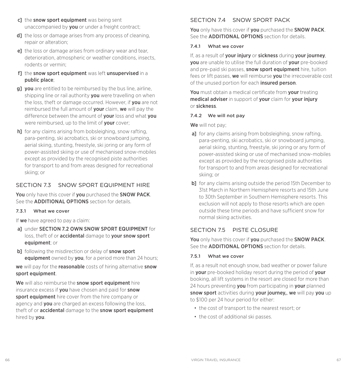- c] the snow sport equipment was being sent unaccompanied by **you** or under a freight contract;
- d] the loss or damage arises from any process of cleaning, repair or alteration;
- e] the loss or damage arises from ordinary wear and tear. deterioration, atmospheric or weather conditions, insects, rodents or vermin;
- f] the snow sport equipment was left unsupervised in a public place;
- g] you are entitled to be reimbursed by the bus line, airline, shipping line or rail authority you were travelling on when the loss, theft or damage occurred. However, if **vou** are not reimbursed the full amount of your claim, we will pay the difference between the amount of your loss and what you were reimbursed, up to the limit of **your** cover;
- h<sup>1</sup> for any claims arising from bobsleighing, snow rafting, para-penting, ski acrobatics, ski or snowboard jumping, aerial skiing, stunting, freestyle, ski joring or any form of power-assisted skiing or use of mechanised snow-mobiles except as provided by the recognised piste authorities for transport to and from areas designed for recreational skiing; or

## SECTION 7.3 SNOW SPORT FOUR MENT HIRE

You only have this cover if you purchased the SNOW PACK. See the ADDITIONAL OPTIONS section for details.

#### 7.3.1 What we cover

If we have agreed to pay a claim:

- al under SECTION 7.2 OWN SNOW SPORT EQUIPMENT for loss, theft of or accidental damage to your snow sport equipment; or
- b] following the misdirection or delay of snow sport equipment owned by you, for a period more than 24 hours;

we will pay for the reasonable costs of hiring alternative snow sport equipment.

We will also reimburse the **snow sport equipment** hire insurance excess if you have chosen and paid for snow sport equipment hire cover from the hire company or agency and **you** are charged an excess following the loss. theft of or **accidental** damage to the **snow sport equipment** hired by you.

## SECTION 74 SNOW SPORT PACK

You only have this cover if you purchased the SNOW PACK. See the ADDITIONAL OPTIONS section for details.

#### 7.4.1 What we cover

If, as a result of your injury or sickness during your journey, you are unable to utilise the full duration of your pre-booked and pre-paid ski passes, snow sport equipment hire, tuition fees or lift passes, we will reimburse you the irrecoverable cost of the unused portion for each **insured person**.

You must obtain a medical certificate from your treating medical adviser in support of your claim for your injury or sickness.

#### 7.4.2 We will not pay

We will not pay:

- al for any claims arising from bobsleighing, snow rafting. para-penting, ski acrobatics, ski or snowboard jumping, aerial skiing, stunting, freestyle, ski joring or any form of power-assisted skiing or use of mechanised snow-mobiles except as provided by the recognised piste authorities for transport to and from areas designed for recreational skiing; or
- b] for any claims arising outside the period 15th December to 31st March in Northern Hemisphere resorts and 15th June to 30th September in Southern Hemisphere resorts. This exclusion will not apply to those resorts which are open outside these time periods and have sufficient snow for normal skiing activities.

## SECTION 75 PISTE CLOSURE

You only have this cover if you purchased the SNOW PACK. See the ADDITIONAL OPTIONS section for details.

#### 7.5.1 What we cover

If, as a result not enough snow, bad weather or power failure in your pre-booked holiday resort during the period of your booking, all lift systems in the resort are closed for more than 24 hours preventing you from participating in your planned snow sport activities during your journey,, we will pay you up to \$100 per 24 hour period for either:

- the cost of transport to the nearest resort; or
- the cost of additional ski passes.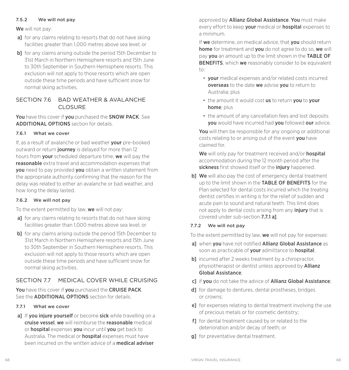#### 7.5.2 We will not pay

We will not pay:

- a] for any claims relating to resorts that do not have skiing facilities greater than 1,000 metres above sea level; or
- b] for any claims arising outside the period 15th December to 31st March in Northern Hemisphere resorts and 15th June to 30th September in Southern Hemisphere resorts. This exclusion will not apply to those resorts which are open outside these time periods and have sufficient snow for normal skiing activities.

## SECTION 76 BAD WEATHER & AVALANCHE CLOSURE

You have this cover if you purchased the SNOW PACK. See ADDITIONAL OPTIONS section for details.

### 7.6.1 What we cover

If, as a result of avalanche or bad weather your pre-booked outward or return journey is delayed for more than 12 hours from your scheduled departure time, we will pay the reasonable extra travel and accommodation expenses that **vou** need to pay provided **you** obtain a written statement from the appropriate authority confirming that the reason for the delay was related to either an avalanche or bad weather, and how long the delay lasted.

#### 7.6.2 We will not pay

To the extent permitted by law, we will not pay:

- a] for any claims relating to resorts that do not have skiing facilities greater than 1,000 metres above sea level; or
- b] for any claims arising outside the period 15th December to 31st March in Northern Hemisphere resorts and 15th June to 30th September in Southern Hemisphere resorts. This exclusion will not apply to those resorts which are open outside these time periods and have sufficient snow for normal skiing activities.

## SECTION 7.7 MEDICAL COVER WHILE CRUISING

You have this cover if you purchased the CRUISE PACK. See the ADDITIONAL OPTIONS section for details.

## 7.7.1 What we cover

a] If you injure yourself or become sick while travelling on a cruise vessel, we will reimburse the reasonable medical or hospital expenses you incur until you get back to Australia. The medical or **hospital** expenses must have been incurred on the written advice of a medical adviser

approved by Allianz Global Assistance. You must make every effort to keep **your** medical or **hospital** expenses to a minimum.

If we determine, on medical advice, that vou should return home for treatment and you do not agree to do so, we will pay you an amount up to the limit shown in the TABLE OF **BENEFITS**, which we reasonably consider to be equivalent  $t^{\circ}$ 

- your medical expenses and/or related costs incurred overseas to the date we advise you to return to Australia; plus
- the amount it would cost us to return you to your home; plus
- the amount of any cancellation fees and lost deposits you would have incurred had you followed our advice.

You will then be responsible for any ongoing or additional costs relating to or arising out of the event you have claimed for.

We will only pay for treatment received and/or **hospital** accommodation during the 12 month period after the sickness first showed itself or the injury happened.

b] We will also pay the cost of emergency dental treatment up to the limit shown in the **TABLE OF BENEFITS** for the Plan selected for dental costs incurred which the treating dentist certifies in writing is for the relief of sudden and acute pain to sound and natural teeth. This limit does not apply to dental costs arising from any *injury* that is covered under sub-section 7.7.1 a].

## 7.7.2 We will not pay

To the extent permitted by law, **we** will not pay for expenses:

- a] when you have not notified Allianz Global Assistance as soon as practicable of **your** admittance to **hospital**:
- b] incurred after 2 weeks treatment by a chiropractor, physiotherapist or dentist unless approved by **Allianz** Global Assistance;
- c] if you do not take the advice of Allianz Global Assistance:
- d] for damage to dentures, dental prostheses, bridges or crowns;
- e] for expenses relating to dental treatment involving the use of precious metals or for cosmetic dentistry;
- f1 for dental treatment caused by or related to the deterioration and/or decay of teeth; or
- **g1** for preventative dental treatment.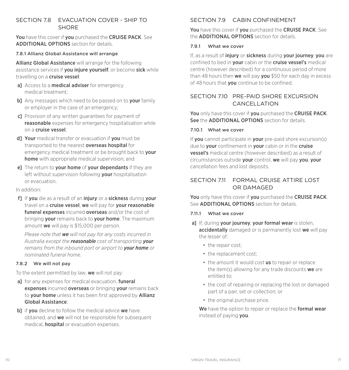## SECTION 7.8 EVACUATION COVER - SHIP TO **SHORE**

You have this cover if you purchased the CRUISE PACK. See ADDITIONAL OPTIONS section for details.

#### 7.8.1 Allianz Global Assistance will arrange

Allianz Global Assistance will arrange for the following assistance services if **you injure yourself**, or become **sick** while travelling on a cruise vessel:

- al Access to a **medical adviser** for emergency medical treatment;
- b] Any messages which need to be passed on to your family or employer in the case of an emergency;
- c] Provision of any written guarantees for payment of reasonable expenses for emergency hospitalisation while on a cruise vessel;
- d] Your medical transfer or evacuation if you must be transported to the nearest **overseas hospital** for emergency medical treatment or be brought back to **your** home with appropriate medical supervision; and
- el The return to your home of your dependants if they are left without supervision following your hospitalisation or evacuation.

#### In addition:

f1 If you die as a result of an injury or a sickness during your travel on a **cruise vessel, we** will pay for **your reasonable** funeral expenses incurred overseas and/or the cost of bringing your remains back to your home. The maximum amount we will pay is \$15,000 per person.

*Please note that we will not pay for any costs incurred in Australia except the reasonable cost of transporting your remains from the inbound port or airport to your home or nominated funeral home.*

#### 7.8.2 We will not pay

To the extent permitted by law, we will not pay:

- al for any expenses for medical evacuation, **funeral** expenses incurred overseas or bringing your remains back to **your home** unless it has been first approved by **Allianz** Global Assistance;
- b] if you decline to follow the medical advice we have obtained, and we will not be responsible for subsequent medical, **hospital** or evacuation expenses.

## SECTION 79 CABIN CONFINEMENT

You have this cover if you purchased the CRUISE PACK. See the ADDITIONAL OPTIONS section for details.

#### 7.9.1 What we cover

If, as a result of *injury* or sickness during your journey, you are confined to bed in your cabin or the cruise vessel's medical centre (however described) for a continuous period of more than 48 hours then we will pay you \$50 for each day in excess of 48 hours that **you** continue to be confined.

## SECTION 710 PRE-PAID SHORE EXCURSION CANCELLATION

You only have this cover if you purchased the CRUISE PACK. See the **ADDITIONAL OPTIONS** section for details.

#### 7.10.1 What we cover

If you cannot participate in your pre-paid shore excursion(s) due to **your** confinement in **your** cabin or in the **cruise** vessel's medical centre (however described) as a result of circumstances outside your control, we will pay you, your cancellation fees and lost deposits.

## SECTION 7.11 FORMAL CRUISE ATTIRE LOST OR DAMAGED

You only have this cover if you purchased the CRUISE PACK. See ADDITIONAL OPTIONS section for details.

#### 7.11.1 What we cover

- al If, during vour journey, your formal wear is stolen. accidentally damaged or is permanently lost we will pay the lesser of:
	- the repair cost:
	- the replacement cost;
	- the amount it would cost us to repair or replace the item(s) allowing for any trade discounts we are entitled to;
	- the cost of repairing or replacing the lost or damaged part of a pair, set or collection; or
	- the original purchase price.

We have the option to repair or replace the **formal wear** instead of paying you.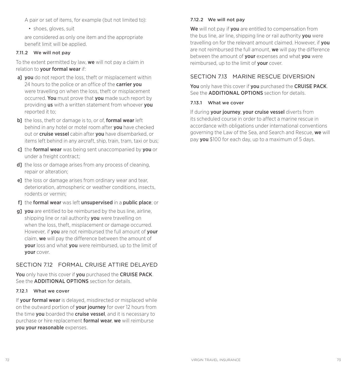A pair or set of items, for example (but not limited to):

• shoes, gloves, suit

are considered as only one item and the appropriate benefit limit will be applied.

#### 7.11.2 We will not pay

To the extent permitted by law, we will not pay a claim in relation to your formal wear if:

- al vou do not report the loss, theft or misplacement within 24 hours to the police or an office of the **carrier you** were travelling on when the loss, theft or misplacement occurred. You must prove that you made such report by providing us with a written statement from whoever you reported it to;
- b] the loss, theft or damage is to, or of, formal wear left behind in any hotel or motel room after **you** have checked out or **cruise vessel** cabin after **vou** have disembarked, or items left behind in any aircraft, ship, train, tram, taxi or bus;
- c] the formal wear was being sent unaccompanied by you or under a freight contract;
- d] the loss or damage arises from any process of cleaning, repair or alteration;
- e] the loss or damage arises from ordinary wear and tear, deterioration, atmospheric or weather conditions, insects, rodents or vermin;
- f] the formal wear was left unsupervised in a public place; or
- **g1** you are entitled to be reimbursed by the bus line, airline, shipping line or rail authority you were travelling on when the loss, theft, misplacement or damage occurred. However, if you are not reimbursed the full amount of your claim, we will pay the difference between the amount of **vour** loss and what **you** were reimbursed, up to the limit of your cover.

## SECTION 7.12 FORMAL CRUISE ATTIRE DELAYED

You only have this cover if you purchased the CRUISE PACK. See the ADDITIONAL OPTIONS section for details.

#### 7.12.1 What we cover

If your formal wear is delayed, misdirected or misplaced while on the outward portion of **your journey** for over 12 hours from the time **vou** boarded the **cruise vessel**, and it is necessary to purchase or hire replacement **formal wear, we** will reimburse you your reasonable expenses.

#### 7.12.2 We will not pay

We will not pay if you are entitled to compensation from the bus line, air line, shipping line or rail authority you were travelling on for the relevant amount claimed. However, if you are not reimbursed the full amount, we will pay the difference between the amount of **your** expenses and what **you** were reimbursed, up to the limit of **your** cover.

### SECTION 713 MARINE RESCUE DIVERSION

You only have this cover if you purchased the CRUISE PACK. See the ADDITIONAL OPTIONS section for details.

#### 7.13.1 What we cover

If during your journey, your cruise vessel diverts from its scheduled course in order to affect a marine rescue in accordance with obligations under international conventions governing the Law of the Sea, and Search and Rescue, we will pay you \$100 for each day, up to a maximum of 5 days.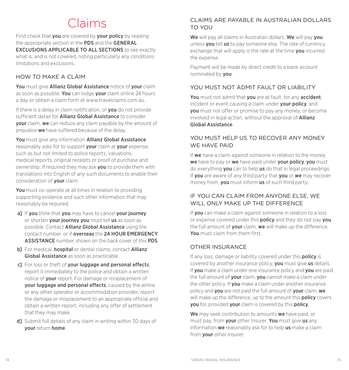## Claims

First check that **you** are covered by **your policy** by reading the appropriate section in the PDS and the GENERAL EXCLUSIONS APPLICABLE TO ALL SECTIONS to see exactly what is, and is not covered, noting particularly any conditions limitations and exclusions.

## HOW TO MAKE A CLAIM

You must give Allianz Global Assistance notice of your claim as soon as possible. You can lodge your claim online 24 hours a day or obtain a claim form at www.travelclaims.com.au.

If there is a delay in claim notification, or **you** do not provide sufficient detail for **Allianz Global Assistance** to consider your claim, we can reduce any claim payable by the amount of prejudice we have suffered because of the delay.

You must give any information Allianz Global Assistance reasonably asks for to support your claim at your expense, such as but not limited to police reports, valuations, medical reports, original receipts or proof of purchase and ownership. If required they may ask **you** to provide them with translations into English of any such documents to enable their consideration of your claim.

You must co-operate at all times in relation to providing supporting evidence and such other information that may reasonably be required.

- a] If you think that you may have to cancel your journey or shorten your journey you must tell us as soon as possible. Contact Allianz Global Assistance using the contact number, or if overseas the 24 HOUR EMERGENCY ASSISTANCE number, shown on the back cover of this PDS.
- b] For medical, hospital or dental claims, contact Allianz Global Assistance as soon as practicable.
- c] For loss or theft of your luggage and personal effects, report it immediately to the police and obtain a written notice of your report. For damage or misplacement of your luggage and personal effects, caused by the airline or any other operator or accommodation provider, report the damage or misplacement to an appropriate official and obtain a written report, including any offer of settlement that they may make.
- d] Submit full details of any claim in writing within 30 days of your return home.

## CLAIMS ARE PAYABLE IN AUSTRALIAN DOLLARS TO YOU

We will pay all claims in Australian dollars. We will pay vou unless you tell us to pay someone else. The rate of currency exchange that will apply is the rate at the time **you** incurred the expense.

Payment will be made by direct credit to a bank account nominated by you.

## YOU MUST NOT ADMIT FAULT OR LIABILITY

You must not admit that you are at fault, for any accident, incident or event causing a claim under your policy, and you must not offer or promise to pay any money, or become involved in legal action, without the approval of **Allianz** Global Assistance.

## YOU MUST HELP US TO RECOVER ANY MONEY WE HAVE PAID

If we have a claim against someone in relation to the money we have to pay or we have paid under your policy, you must do everything **you** can to help us do that in legal proceedings. If you are aware of any third party that you or we may recover money from, **vou** must inform **us** of such third party.

## IF YOU CAN CLAIM FROM ANYONE ELSE, WE WILL ONLY MAKE UP THE DIFFERENCE

If you can make a claim against someone in relation to a loss or expense covered under this **policy** and they do not pay you the full amount of **your** claim, we will make up the difference. You must claim from them first.

## OTHER INSURANCE

If any loss, damage or liability covered under this **policy** is covered by another insurance policy, you must give us details. If you make a claim under one insurance policy and you are paid the full amount of your claim, you cannot make a claim under the other policy. If you make a claim under another insurance policy and you are not paid the full amount of your claim, we will make up the difference, up to the amount this **policy** covers you for, provided your claim is covered by this policy.

We may seek contribution to amounts we have paid, or must pay, from **your** other Insurer. You must give us any information **we** reasonably ask for to help **us** make a claim from **your** other Insurer.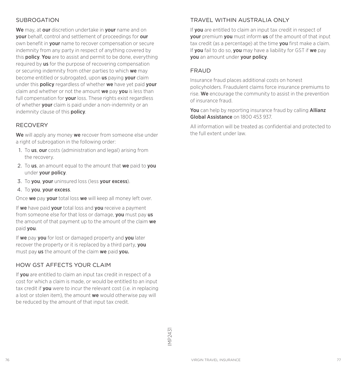## SUBROGATION

We may, at our discretion undertake in your name and on your behalf, control and settlement of proceedings for our own benefit in your name to recover compensation or secure indemnity from any party in respect of anything covered by this **policy. You** are to assist and permit to be done, everything required by us for the purpose of recovering compensation or securing indemnity from other parties to which we may become entitled or subrogated, upon us paying your claim under this **policy** regardless of whether we have yet paid vour claim and whether or not the amount we pay you is less than full compensation for **your** loss. These rights exist regardless of whether **your** claim is paid under a non-indemnity or an indemnity clause of this **policy**.

### RECOVERY

We will apply any money we recover from someone else under a right of subrogation in the following order:

- 1. To us, our costs (administration and legal) arising from the recovery.
- 2. To us, an amount equal to the amount that we paid to you under your policy.
- 3. To you, your uninsured loss (less your excess).
- 4. To you, your excess.

Once we pay your total loss we will keep all money left over.

If we have paid your total loss and you receive a payment from someone else for that loss or damage, **vou** must pay us the amount of that payment up to the amount of the claim we paid you.

If we pay you for lost or damaged property and you later recover the property or it is replaced by a third party. **vou** must pay us the amount of the claim we paid you.

## HOW GST AFFFCTS YOUR CLAIM

If you are entitled to claim an input tax credit in respect of a cost for which a claim is made, or would be entitled to an input tax credit if **you** were to incur the relevant cost (i.e. in replacing a lost or stolen item), the amount we would otherwise pay will be reduced by the amount of that input tax credit.

## TRAVEL WITHIN AUSTRALIA ONLY

If you are entitled to claim an input tax credit in respect of your premium you must inform us of the amount of that input tax credit (as a percentage) at the time you first make a claim. If you fail to do so, you may have a liability for GST if we pay you an amount under your policy.

#### FRAUD

Insurance fraud places additional costs on honest policyholders. Fraudulent claims force insurance premiums to rise. We encourage the community to assist in the prevention of insurance fraud.

You can help by reporting insurance fraud by calling Allianz Global Assistance on 1800 453 937.

All information will be treated as confidential and protected to the full extent under law.